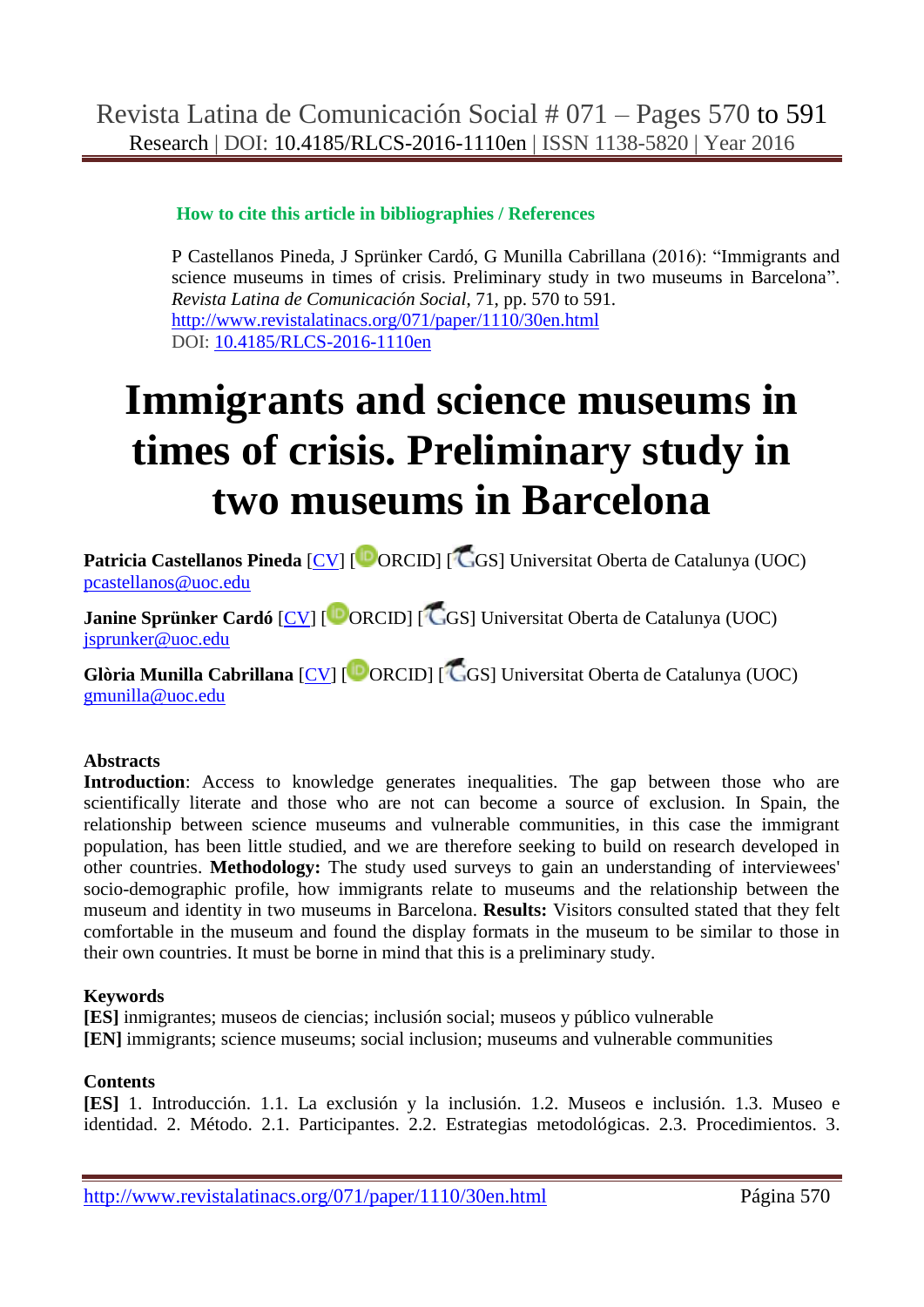#### **How to cite this article in bibliographies / References**

P Castellanos Pineda, J Sprünker Cardó, G Munilla Cabrillana (2016): "Immigrants and science museums in times of crisis. Preliminary study in two museums in Barcelona". *Revista Latina de Comunicación Social*, 71, pp. 570 to 591. <http://www.revistalatinacs.org/071/paper/1110/30en.html> DOI: [10.4185/RLCS-2016-1110en](http://dx.doi.org/10.4185/RLCS-2016-1110en)

# **Immigrants and science museums in times of crisis. Preliminary study in two museums in Barcelona**

**Patricia Castellanos Pineda** [\[CV\]](cv1.html) [<sup>10</sup> ORCID] [<sup>1</sup>CGS] Universitat Oberta de Catalunya (UOC) [pcastellanos@uoc.edu](mailto:pcastellanos@uoc.edu)

**Janine Sprünker Cardó** [\[CV\]](cv1.html) [<sup>[D</sup>ORCID] [<sup>[C</sup>GS] Universitat Oberta de Catalunya (UOC) [jsprunker@uoc.edu](mailto:jsprunker@uoc.edu)

**Glòria Munilla Cabrillana** [\[CV\]](cv1.html) [ ORCID] [ GS] Universitat Oberta de Catalunya (UOC) [gmunilla@uoc.edu](mailto:gmunilla@uoc.edu)

## **Abstracts**

**Introduction**: Access to knowledge generates inequalities. The gap between those who are scientifically literate and those who are not can become a source of exclusion. In Spain, the relationship between science museums and vulnerable communities, in this case the immigrant population, has been little studied, and we are therefore seeking to build on research developed in other countries. **Methodology:** The study used surveys to gain an understanding of interviewees' socio-demographic profile, how immigrants relate to museums and the relationship between the museum and identity in two museums in Barcelona. **Results:** Visitors consulted stated that they felt comfortable in the museum and found the display formats in the museum to be similar to those in their own countries. It must be borne in mind that this is a preliminary study.

#### **Keywords**

**[ES]** inmigrantes; museos de ciencias; inclusión social; museos y público vulnerable **[EN]** immigrants; science museums; social inclusion; museums and vulnerable communities

#### **Contents**

**[ES]** 1. Introducción. 1.1. La exclusión y la inclusión. 1.2. Museos e inclusión. 1.3. Museo e identidad. 2. Método. 2.1. Participantes. 2.2. Estrategias metodológicas. 2.3. Procedimientos. 3.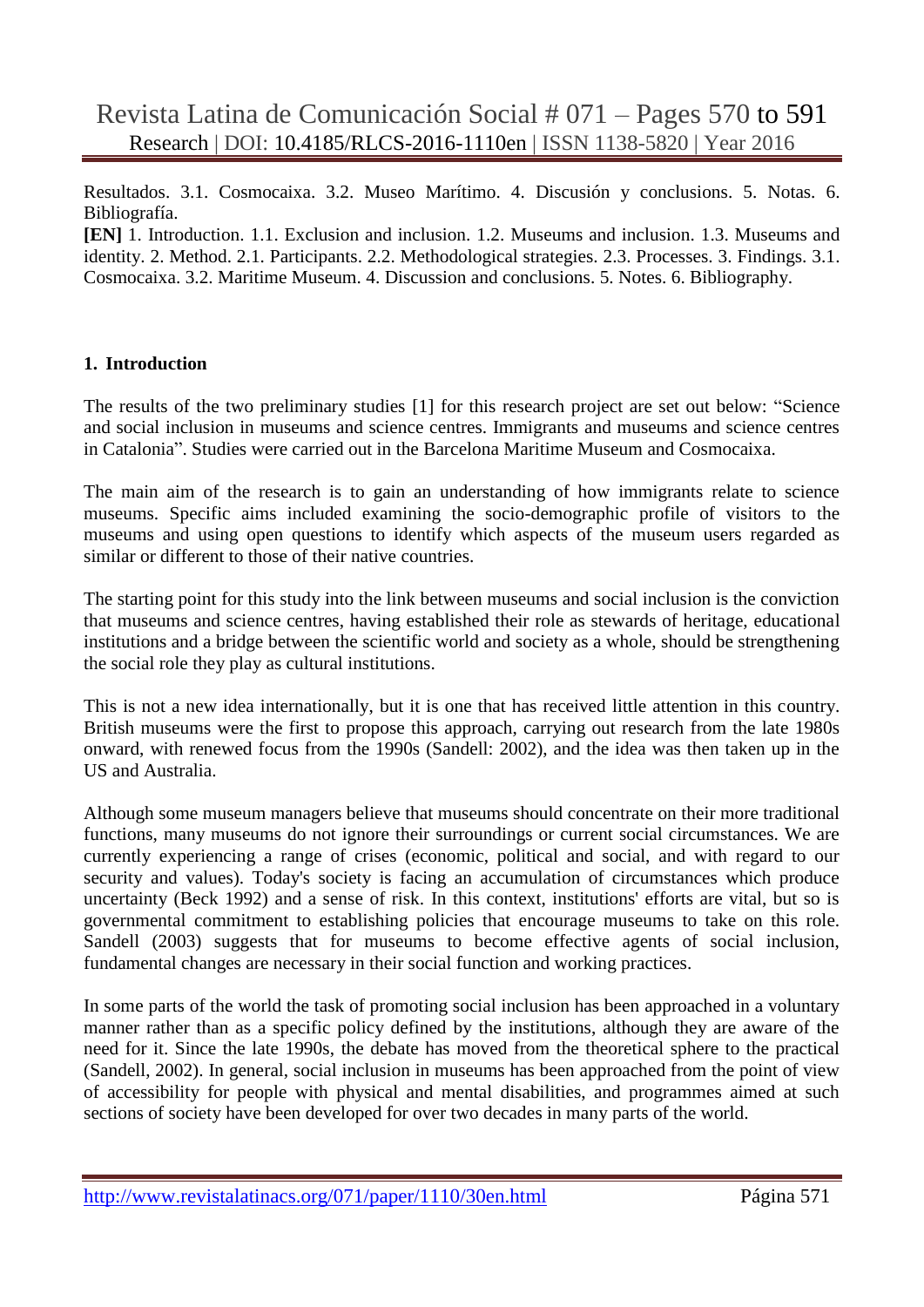Resultados. 3.1. Cosmocaixa. 3.2. Museo Marítimo. 4. Discusión y conclusions. 5. Notas. 6. Bibliografía.

**[EN]** 1. Introduction. 1.1. Exclusion and inclusion. 1.2. Museums and inclusion. 1.3. Museums and identity. 2. Method. 2.1. Participants. 2.2. Methodological strategies. 2.3. Processes. 3. Findings. 3.1. Cosmocaixa. 3.2. Maritime Museum. 4. Discussion and conclusions. 5. Notes. 6. Bibliography.

#### **1. Introduction**

The results of the two preliminary studies [1] for this research project are set out below: "Science and social inclusion in museums and science centres. Immigrants and museums and science centres in Catalonia". Studies were carried out in the Barcelona Maritime Museum and Cosmocaixa.

The main aim of the research is to gain an understanding of how immigrants relate to science museums. Specific aims included examining the socio-demographic profile of visitors to the museums and using open questions to identify which aspects of the museum users regarded as similar or different to those of their native countries.

The starting point for this study into the link between museums and social inclusion is the conviction that museums and science centres, having established their role as stewards of heritage, educational institutions and a bridge between the scientific world and society as a whole, should be strengthening the social role they play as cultural institutions.

This is not a new idea internationally, but it is one that has received little attention in this country. British museums were the first to propose this approach, carrying out research from the late 1980s onward, with renewed focus from the 1990s (Sandell: 2002), and the idea was then taken up in the US and Australia.

Although some museum managers believe that museums should concentrate on their more traditional functions, many museums do not ignore their surroundings or current social circumstances. We are currently experiencing a range of crises (economic, political and social, and with regard to our security and values). Today's society is facing an accumulation of circumstances which produce uncertainty (Beck 1992) and a sense of risk. In this context, institutions' efforts are vital, but so is governmental commitment to establishing policies that encourage museums to take on this role. Sandell (2003) suggests that for museums to become effective agents of social inclusion, fundamental changes are necessary in their social function and working practices.

In some parts of the world the task of promoting social inclusion has been approached in a voluntary manner rather than as a specific policy defined by the institutions, although they are aware of the need for it. Since the late 1990s, the debate has moved from the theoretical sphere to the practical (Sandell, 2002). In general, social inclusion in museums has been approached from the point of view of accessibility for people with physical and mental disabilities, and programmes aimed at such sections of society have been developed for over two decades in many parts of the world.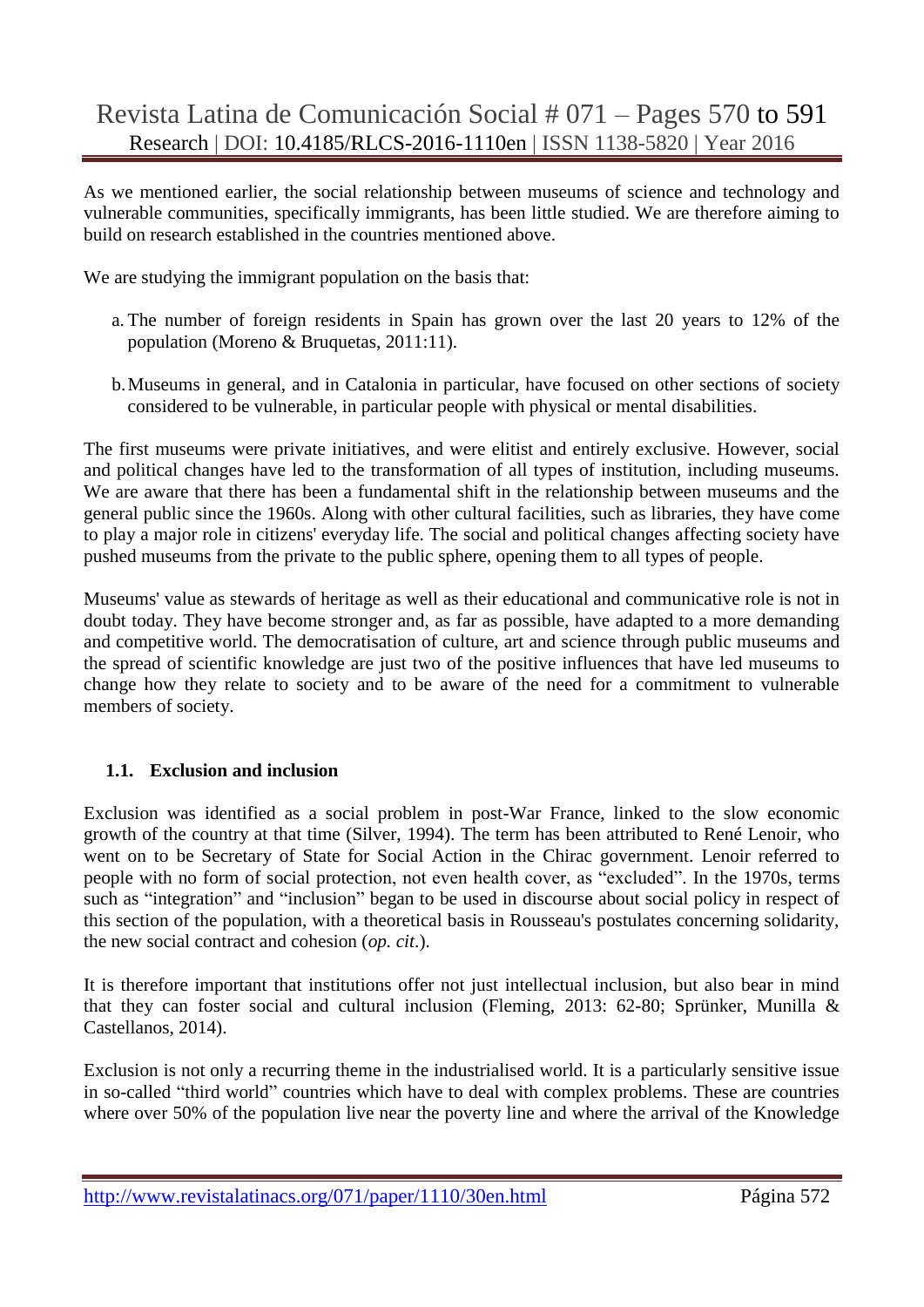As we mentioned earlier, the social relationship between museums of science and technology and vulnerable communities, specifically immigrants, has been little studied. We are therefore aiming to build on research established in the countries mentioned above.

We are studying the immigrant population on the basis that:

- a. The number of foreign residents in Spain has grown over the last 20 years to 12% of the population (Moreno & Bruquetas, 2011:11).
- b.Museums in general, and in Catalonia in particular, have focused on other sections of society considered to be vulnerable, in particular people with physical or mental disabilities.

The first museums were private initiatives, and were elitist and entirely exclusive. However, social and political changes have led to the transformation of all types of institution, including museums. We are aware that there has been a fundamental shift in the relationship between museums and the general public since the 1960s. Along with other cultural facilities, such as libraries, they have come to play a major role in citizens' everyday life. The social and political changes affecting society have pushed museums from the private to the public sphere, opening them to all types of people.

Museums' value as stewards of heritage as well as their educational and communicative role is not in doubt today. They have become stronger and, as far as possible, have adapted to a more demanding and competitive world. The democratisation of culture, art and science through public museums and the spread of scientific knowledge are just two of the positive influences that have led museums to change how they relate to society and to be aware of the need for a commitment to vulnerable members of society.

## **1.1. Exclusion and inclusion**

Exclusion was identified as a social problem in post-War France, linked to the slow economic growth of the country at that time (Silver, 1994). The term has been attributed to René Lenoir, who went on to be Secretary of State for Social Action in the Chirac government. Lenoir referred to people with no form of social protection, not even health cover, as "excluded". In the 1970s, terms such as "integration" and "inclusion" began to be used in discourse about social policy in respect of this section of the population, with a theoretical basis in Rousseau's postulates concerning solidarity, the new social contract and cohesion (*op. cit*.).

It is therefore important that institutions offer not just intellectual inclusion, but also bear in mind that they can foster social and cultural inclusion (Fleming, 2013: 62-80; Sprünker, Munilla & Castellanos, 2014).

Exclusion is not only a recurring theme in the industrialised world. It is a particularly sensitive issue in so-called "third world" countries which have to deal with complex problems. These are countries where over 50% of the population live near the poverty line and where the arrival of the Knowledge

http://www.revistalatinacs.org/071/paper/1110/30en.html Página 572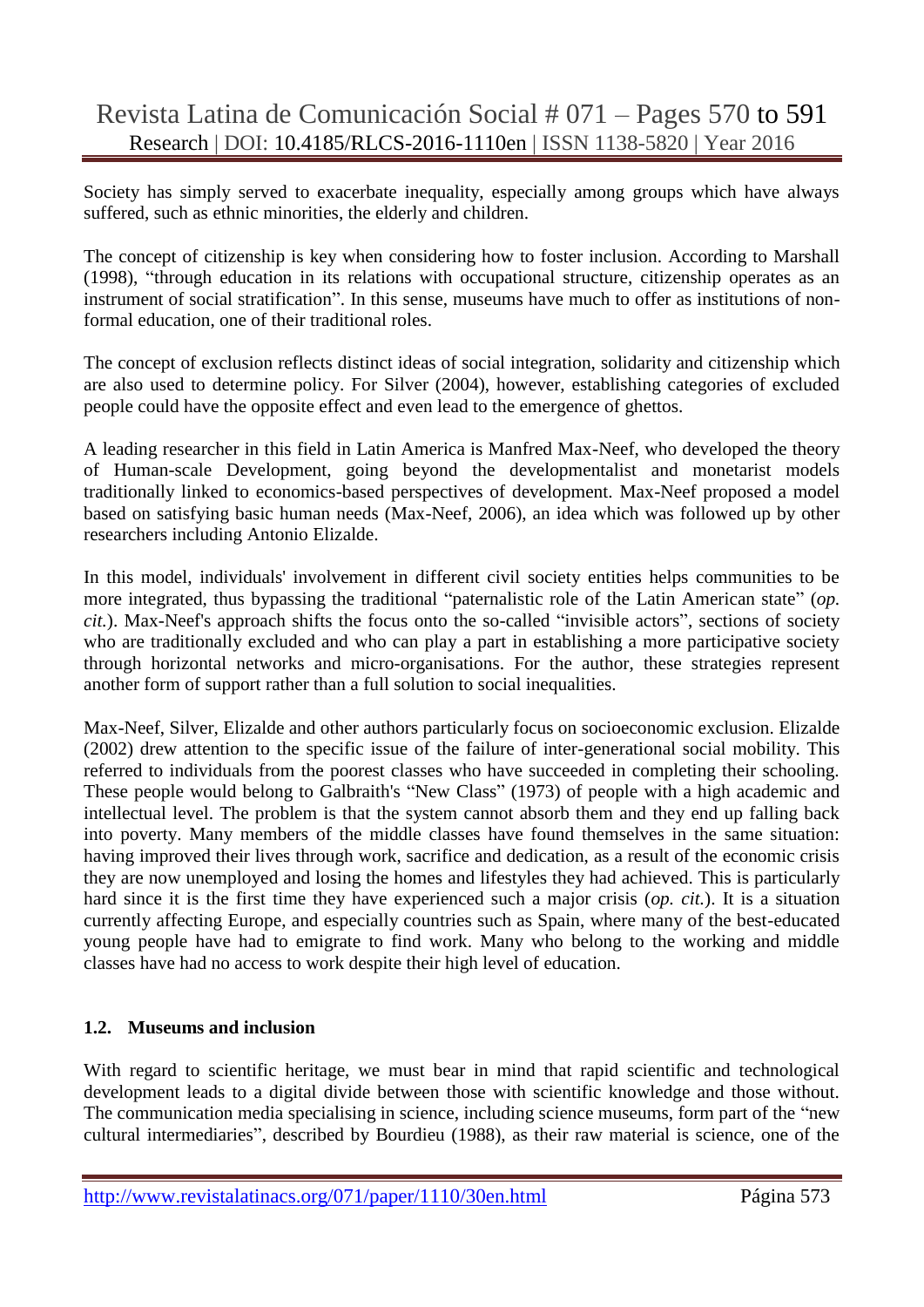Society has simply served to exacerbate inequality, especially among groups which have always suffered, such as ethnic minorities, the elderly and children.

The concept of citizenship is key when considering how to foster inclusion. According to Marshall (1998), "through education in its relations with occupational structure, citizenship operates as an instrument of social stratification". In this sense, museums have much to offer as institutions of nonformal education, one of their traditional roles.

The concept of exclusion reflects distinct ideas of social integration, solidarity and citizenship which are also used to determine policy. For Silver (2004), however, establishing categories of excluded people could have the opposite effect and even lead to the emergence of ghettos.

A leading researcher in this field in Latin America is Manfred Max-Neef, who developed the theory of Human-scale Development, going beyond the developmentalist and monetarist models traditionally linked to economics-based perspectives of development. Max-Neef proposed a model based on satisfying basic human needs (Max-Neef, 2006), an idea which was followed up by other researchers including Antonio Elizalde.

In this model, individuals' involvement in different civil society entities helps communities to be more integrated, thus bypassing the traditional "paternalistic role of the Latin American state" (*op. cit.*). Max-Neef's approach shifts the focus onto the so-called "invisible actors", sections of society who are traditionally excluded and who can play a part in establishing a more participative society through horizontal networks and micro-organisations. For the author, these strategies represent another form of support rather than a full solution to social inequalities.

Max-Neef, Silver, Elizalde and other authors particularly focus on socioeconomic exclusion. Elizalde (2002) drew attention to the specific issue of the failure of inter-generational social mobility. This referred to individuals from the poorest classes who have succeeded in completing their schooling. These people would belong to Galbraith's "New Class" (1973) of people with a high academic and intellectual level. The problem is that the system cannot absorb them and they end up falling back into poverty. Many members of the middle classes have found themselves in the same situation: having improved their lives through work, sacrifice and dedication, as a result of the economic crisis they are now unemployed and losing the homes and lifestyles they had achieved. This is particularly hard since it is the first time they have experienced such a major crisis (*op. cit.*). It is a situation currently affecting Europe, and especially countries such as Spain, where many of the best-educated young people have had to emigrate to find work. Many who belong to the working and middle classes have had no access to work despite their high level of education.

#### **1.2. Museums and inclusion**

With regard to scientific heritage, we must bear in mind that rapid scientific and technological development leads to a digital divide between those with scientific knowledge and those without. The communication media specialising in science, including science museums, form part of the "new cultural intermediaries", described by Bourdieu (1988), as their raw material is science, one of the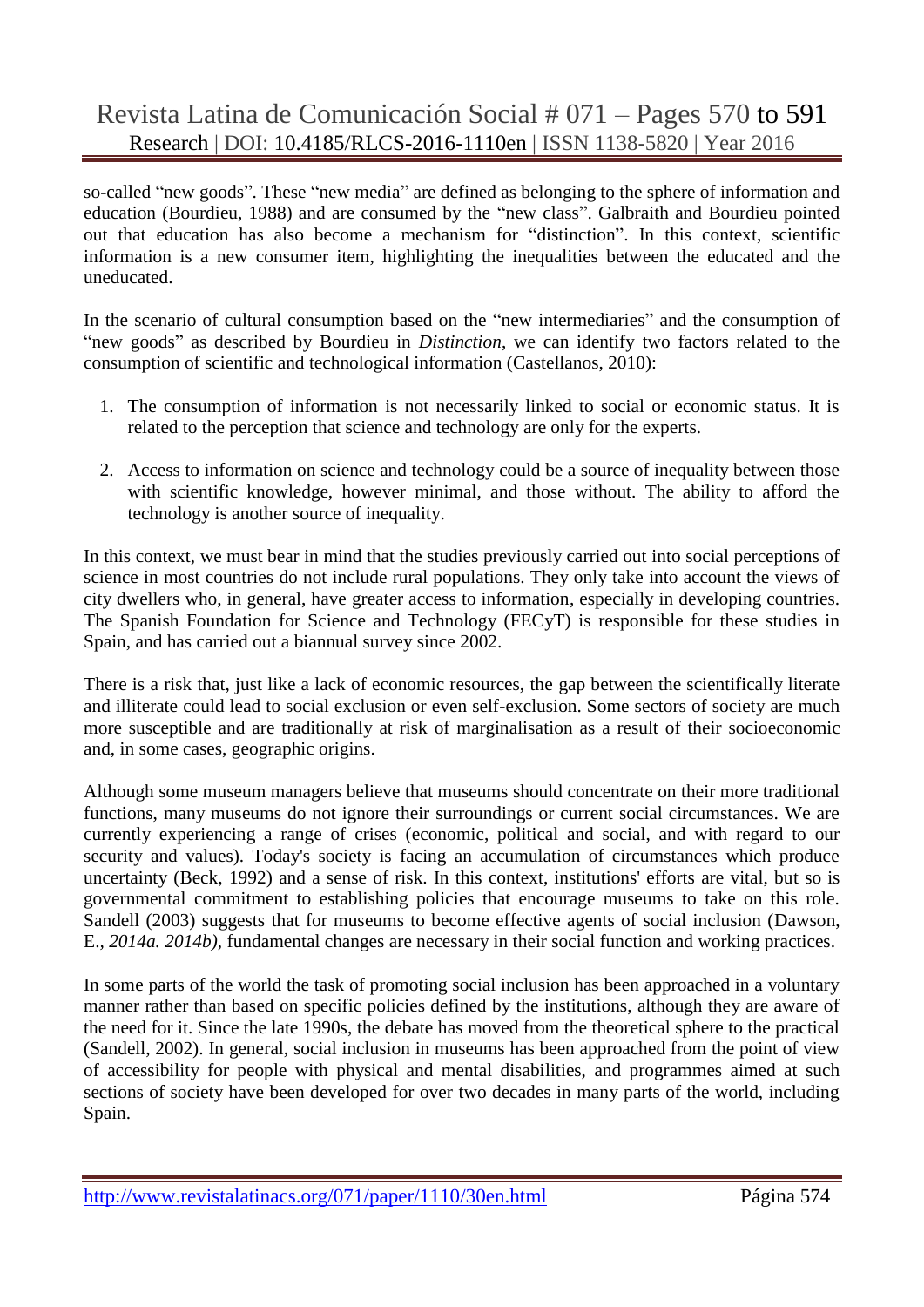so-called "new goods". These "new media" are defined as belonging to the sphere of information and education (Bourdieu, 1988) and are consumed by the "new class". Galbraith and Bourdieu pointed out that education has also become a mechanism for "distinction". In this context, scientific information is a new consumer item, highlighting the inequalities between the educated and the uneducated.

In the scenario of cultural consumption based on the "new intermediaries" and the consumption of "new goods" as described by Bourdieu in *Distinction*, we can identify two factors related to the consumption of scientific and technological information (Castellanos, 2010):

- 1. The consumption of information is not necessarily linked to social or economic status. It is related to the perception that science and technology are only for the experts.
- 2. Access to information on science and technology could be a source of inequality between those with scientific knowledge, however minimal, and those without. The ability to afford the technology is another source of inequality.

In this context, we must bear in mind that the studies previously carried out into social perceptions of science in most countries do not include rural populations. They only take into account the views of city dwellers who, in general, have greater access to information, especially in developing countries. The Spanish Foundation for Science and Technology (FECyT) is responsible for these studies in Spain, and has carried out a biannual survey since 2002.

There is a risk that, just like a lack of economic resources, the gap between the scientifically literate and illiterate could lead to social exclusion or even self-exclusion. Some sectors of society are much more susceptible and are traditionally at risk of marginalisation as a result of their socioeconomic and, in some cases, geographic origins.

Although some museum managers believe that museums should concentrate on their more traditional functions, many museums do not ignore their surroundings or current social circumstances. We are currently experiencing a range of crises (economic, political and social, and with regard to our security and values). Today's society is facing an accumulation of circumstances which produce uncertainty (Beck, 1992) and a sense of risk. In this context, institutions' efforts are vital, but so is governmental commitment to establishing policies that encourage museums to take on this role. Sandell (2003) suggests that for museums to become effective agents of social inclusion (Dawson, E.*, 2014a. 2014b)*, fundamental changes are necessary in their social function and working practices.

In some parts of the world the task of promoting social inclusion has been approached in a voluntary manner rather than based on specific policies defined by the institutions, although they are aware of the need for it. Since the late 1990s, the debate has moved from the theoretical sphere to the practical (Sandell, 2002). In general, social inclusion in museums has been approached from the point of view of accessibility for people with physical and mental disabilities, and programmes aimed at such sections of society have been developed for over two decades in many parts of the world, including Spain.

http://www.revistalatinacs.org/071/paper/1110/30en.html Página 574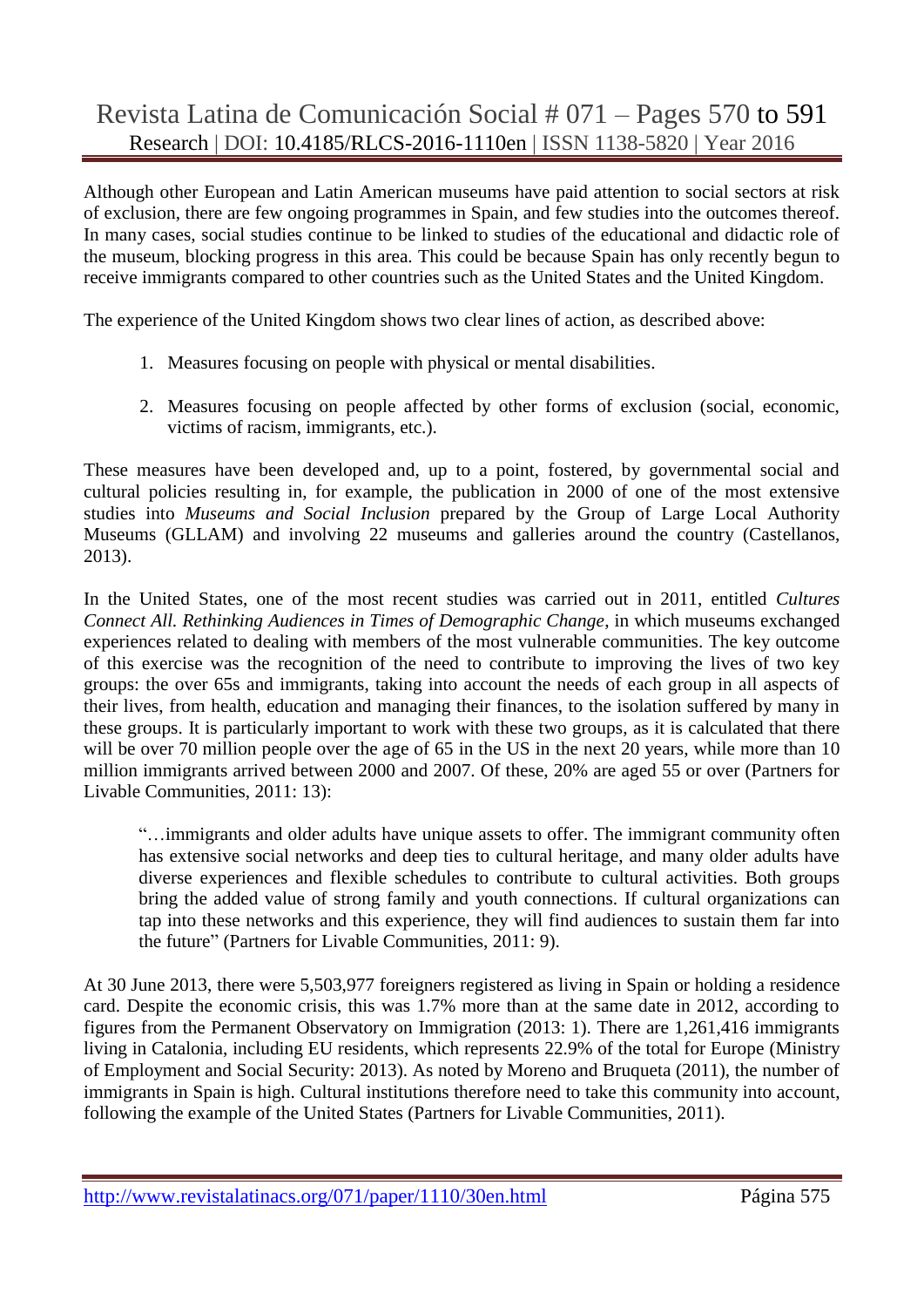Although other European and Latin American museums have paid attention to social sectors at risk of exclusion, there are few ongoing programmes in Spain, and few studies into the outcomes thereof. In many cases, social studies continue to be linked to studies of the educational and didactic role of the museum, blocking progress in this area. This could be because Spain has only recently begun to receive immigrants compared to other countries such as the United States and the United Kingdom.

The experience of the United Kingdom shows two clear lines of action, as described above:

- 1. Measures focusing on people with physical or mental disabilities.
- 2. Measures focusing on people affected by other forms of exclusion (social, economic, victims of racism, immigrants, etc.).

These measures have been developed and, up to a point, fostered, by governmental social and cultural policies resulting in, for example, the publication in 2000 of one of the most extensive studies into *Museums and Social Inclusion* prepared by the Group of Large Local Authority Museums (GLLAM) and involving 22 museums and galleries around the country (Castellanos, 2013).

In the United States, one of the most recent studies was carried out in 2011, entitled *Cultures Connect All. Rethinking Audiences in Times of Demographic Change*, in which museums exchanged experiences related to dealing with members of the most vulnerable communities. The key outcome of this exercise was the recognition of the need to contribute to improving the lives of two key groups: the over 65s and immigrants, taking into account the needs of each group in all aspects of their lives, from health, education and managing their finances, to the isolation suffered by many in these groups. It is particularly important to work with these two groups, as it is calculated that there will be over 70 million people over the age of 65 in the US in the next 20 years, while more than 10 million immigrants arrived between 2000 and 2007. Of these, 20% are aged 55 or over (Partners for Livable Communities, 2011: 13):

"…immigrants and older adults have unique assets to offer. The immigrant community often has extensive social networks and deep ties to cultural heritage, and many older adults have diverse experiences and flexible schedules to contribute to cultural activities. Both groups bring the added value of strong family and youth connections. If cultural organizations can tap into these networks and this experience, they will find audiences to sustain them far into the future" (Partners for Livable Communities, 2011: 9).

At 30 June 2013, there were 5,503,977 foreigners registered as living in Spain or holding a residence card. Despite the economic crisis, this was 1.7% more than at the same date in 2012, according to figures from the Permanent Observatory on Immigration (2013: 1). There are 1,261,416 immigrants living in Catalonia, including EU residents, which represents 22.9% of the total for Europe (Ministry of Employment and Social Security: 2013). As noted by Moreno and Bruqueta (2011), the number of immigrants in Spain is high. Cultural institutions therefore need to take this community into account, following the example of the United States (Partners for Livable Communities, 2011).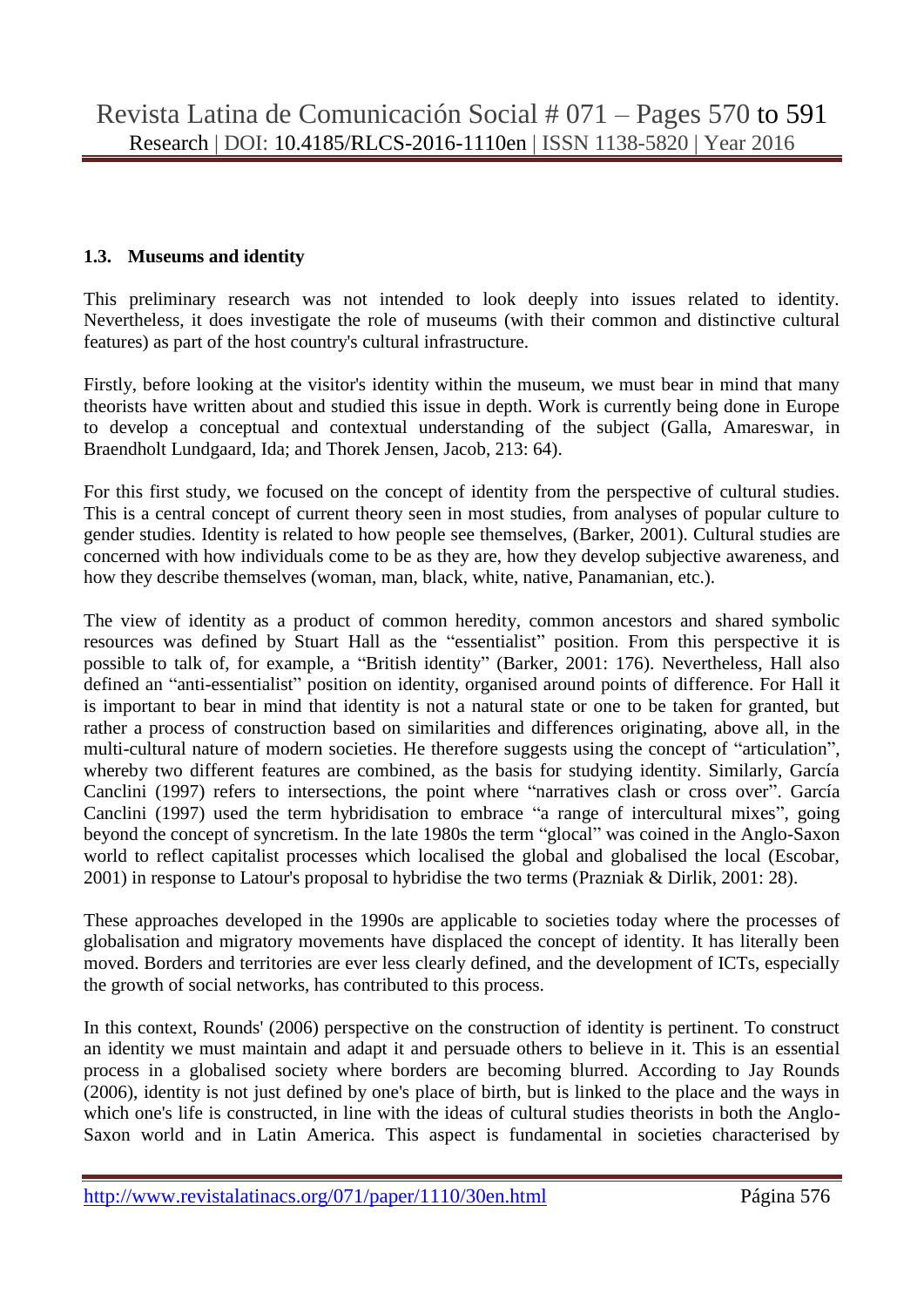### **1.3. Museums and identity**

This preliminary research was not intended to look deeply into issues related to identity. Nevertheless, it does investigate the role of museums (with their common and distinctive cultural features) as part of the host country's cultural infrastructure.

Firstly, before looking at the visitor's identity within the museum, we must bear in mind that many theorists have written about and studied this issue in depth. Work is currently being done in Europe to develop a conceptual and contextual understanding of the subject (Galla, Amareswar, in Braendholt Lundgaard, Ida; and Thorek Jensen, Jacob, 213: 64).

For this first study, we focused on the concept of identity from the perspective of cultural studies. This is a central concept of current theory seen in most studies, from analyses of popular culture to gender studies. Identity is related to how people see themselves, (Barker, 2001). Cultural studies are concerned with how individuals come to be as they are, how they develop subjective awareness, and how they describe themselves (woman, man, black, white, native, Panamanian, etc.).

The view of identity as a product of common heredity, common ancestors and shared symbolic resources was defined by Stuart Hall as the "essentialist" position. From this perspective it is possible to talk of, for example, a "British identity" (Barker, 2001: 176). Nevertheless, Hall also defined an "anti-essentialist" position on identity, organised around points of difference. For Hall it is important to bear in mind that identity is not a natural state or one to be taken for granted, but rather a process of construction based on similarities and differences originating, above all, in the multi-cultural nature of modern societies. He therefore suggests using the concept of "articulation", whereby two different features are combined, as the basis for studying identity. Similarly, García Canclini (1997) refers to intersections, the point where "narratives clash or cross over". García Canclini (1997) used the term hybridisation to embrace "a range of intercultural mixes", going beyond the concept of syncretism. In the late 1980s the term "glocal" was coined in the Anglo-Saxon world to reflect capitalist processes which localised the global and globalised the local (Escobar, 2001) in response to Latour's proposal to hybridise the two terms (Prazniak & Dirlik, 2001: 28).

These approaches developed in the 1990s are applicable to societies today where the processes of globalisation and migratory movements have displaced the concept of identity. It has literally been moved. Borders and territories are ever less clearly defined, and the development of ICTs, especially the growth of social networks, has contributed to this process.

In this context, Rounds' (2006) perspective on the construction of identity is pertinent. To construct an identity we must maintain and adapt it and persuade others to believe in it. This is an essential process in a globalised society where borders are becoming blurred. According to Jay Rounds (2006), identity is not just defined by one's place of birth, but is linked to the place and the ways in which one's life is constructed, in line with the ideas of cultural studies theorists in both the Anglo-Saxon world and in Latin America. This aspect is fundamental in societies characterised by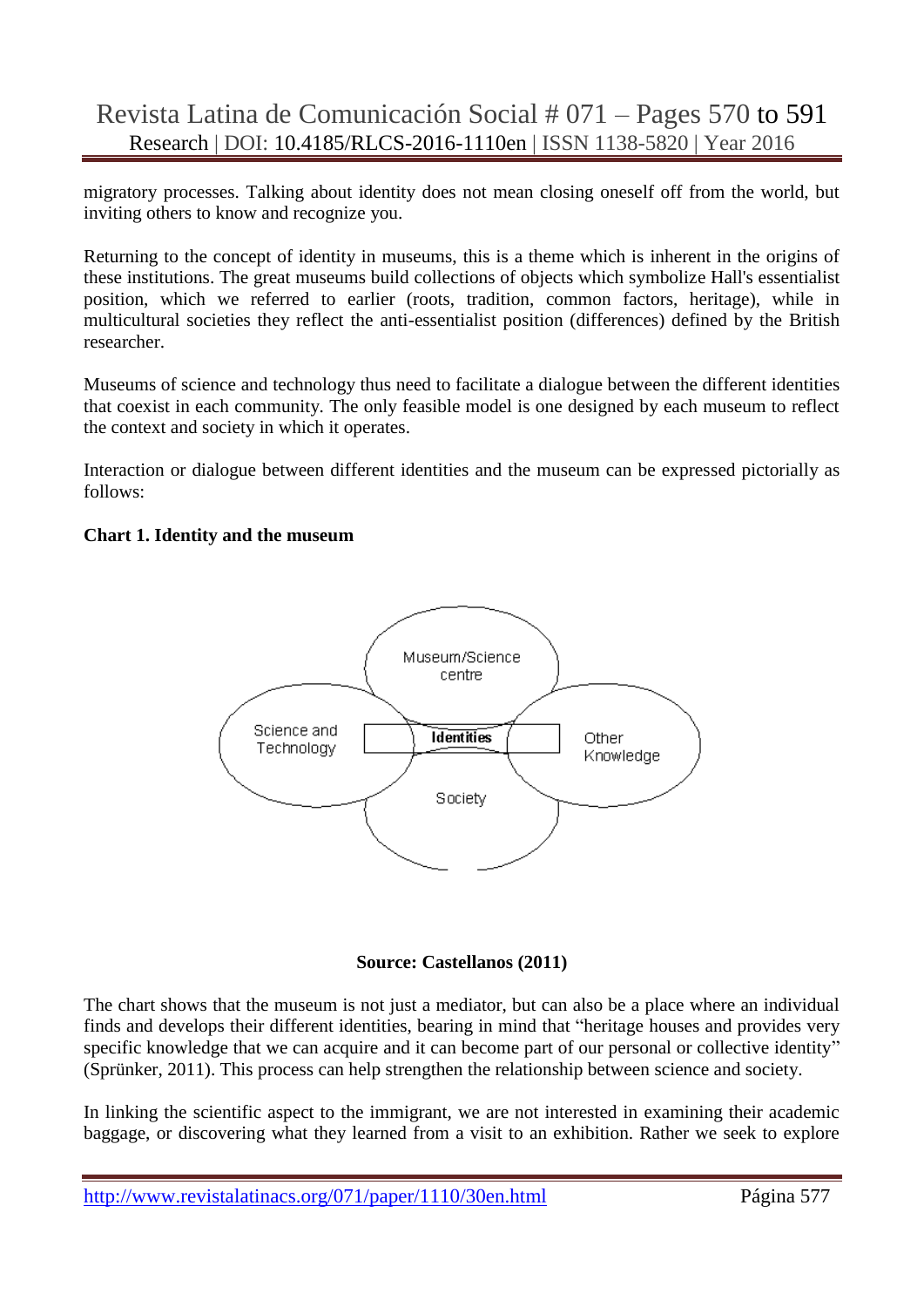migratory processes. Talking about identity does not mean closing oneself off from the world, but inviting others to know and recognize you.

Returning to the concept of identity in museums, this is a theme which is inherent in the origins of these institutions. The great museums build collections of objects which symbolize Hall's essentialist position, which we referred to earlier (roots, tradition, common factors, heritage), while in multicultural societies they reflect the anti-essentialist position (differences) defined by the British researcher.

Museums of science and technology thus need to facilitate a dialogue between the different identities that coexist in each community. The only feasible model is one designed by each museum to reflect the context and society in which it operates.

Interaction or dialogue between different identities and the museum can be expressed pictorially as follows:

#### **Chart 1. Identity and the museum**



#### **Source: Castellanos (2011)**

The chart shows that the museum is not just a mediator, but can also be a place where an individual finds and develops their different identities, bearing in mind that "heritage houses and provides very specific knowledge that we can acquire and it can become part of our personal or collective identity" (Sprünker, 2011). This process can help strengthen the relationship between science and society.

In linking the scientific aspect to the immigrant, we are not interested in examining their academic baggage, or discovering what they learned from a visit to an exhibition. Rather we seek to explore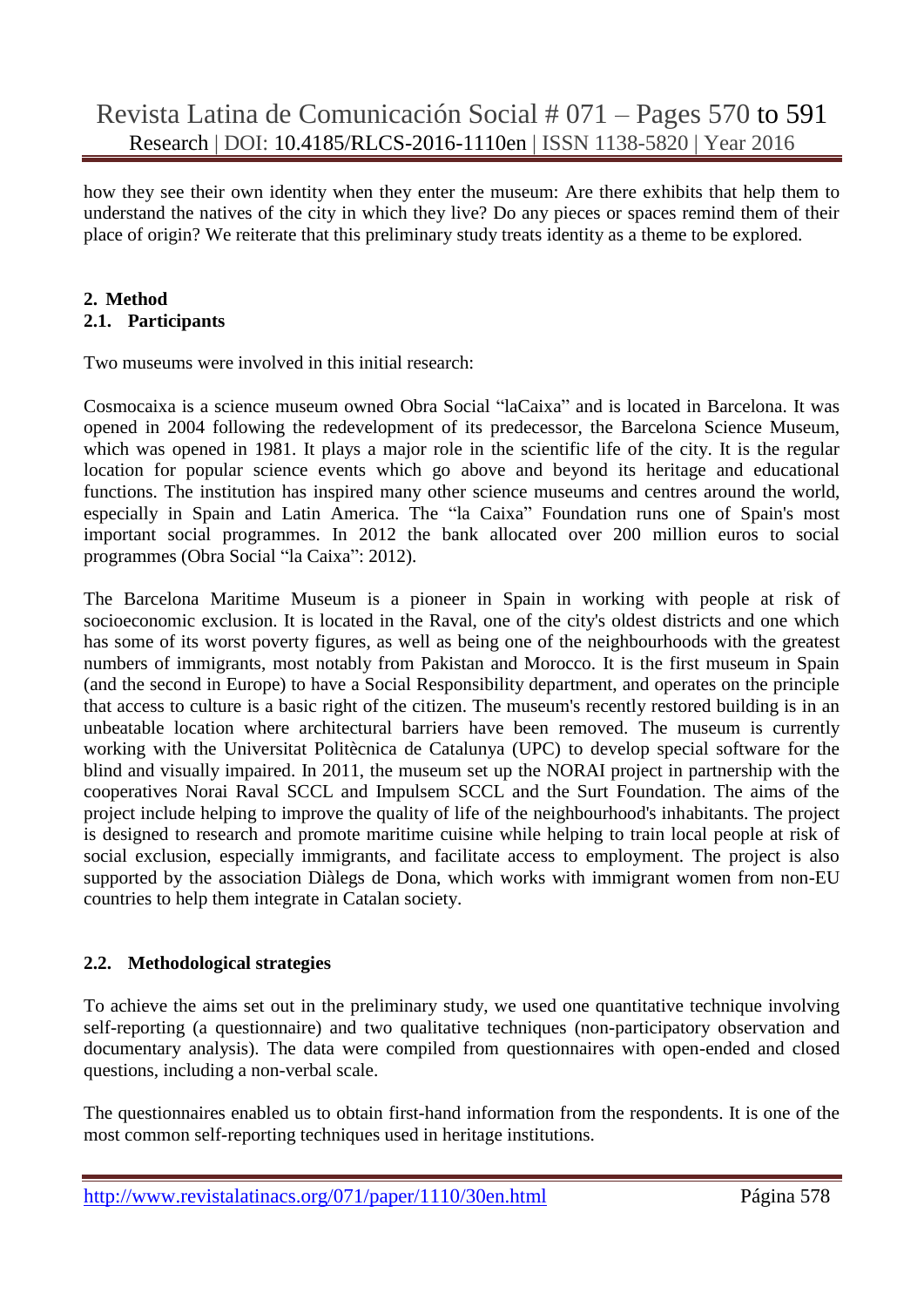how they see their own identity when they enter the museum: Are there exhibits that help them to understand the natives of the city in which they live? Do any pieces or spaces remind them of their place of origin? We reiterate that this preliminary study treats identity as a theme to be explored.

#### **2. Method 2.1. Participants**

Two museums were involved in this initial research:

Cosmocaixa is a science museum owned Obra Social "laCaixa" and is located in Barcelona. It was opened in 2004 following the redevelopment of its predecessor, the Barcelona Science Museum, which was opened in 1981. It plays a major role in the scientific life of the city. It is the regular location for popular science events which go above and beyond its heritage and educational functions. The institution has inspired many other science museums and centres around the world, especially in Spain and Latin America. The "la Caixa" Foundation runs one of Spain's most important social programmes. In 2012 the bank allocated over 200 million euros to social programmes (Obra Social "la Caixa": 2012).

The Barcelona Maritime Museum is a pioneer in Spain in working with people at risk of socioeconomic exclusion. It is located in the Raval, one of the city's oldest districts and one which has some of its worst poverty figures, as well as being one of the neighbourhoods with the greatest numbers of immigrants, most notably from Pakistan and Morocco. It is the first museum in Spain (and the second in Europe) to have a Social Responsibility department, and operates on the principle that access to culture is a basic right of the citizen. The museum's recently restored building is in an unbeatable location where architectural barriers have been removed. The museum is currently working with the Universitat Politècnica de Catalunya (UPC) to develop special software for the blind and visually impaired. In 2011, the museum set up the NORAI project in partnership with the cooperatives Norai Raval SCCL and Impulsem SCCL and the Surt Foundation. The aims of the project include helping to improve the quality of life of the neighbourhood's inhabitants. The project is designed to research and promote maritime cuisine while helping to train local people at risk of social exclusion, especially immigrants, and facilitate access to employment. The project is also supported by the association Diàlegs de Dona, which works with immigrant women from non-EU countries to help them integrate in Catalan society.

## **2.2. Methodological strategies**

To achieve the aims set out in the preliminary study, we used one quantitative technique involving self-reporting (a questionnaire) and two qualitative techniques (non-participatory observation and documentary analysis). The data were compiled from questionnaires with open-ended and closed questions, including a non-verbal scale.

The questionnaires enabled us to obtain first-hand information from the respondents. It is one of the most common self-reporting techniques used in heritage institutions.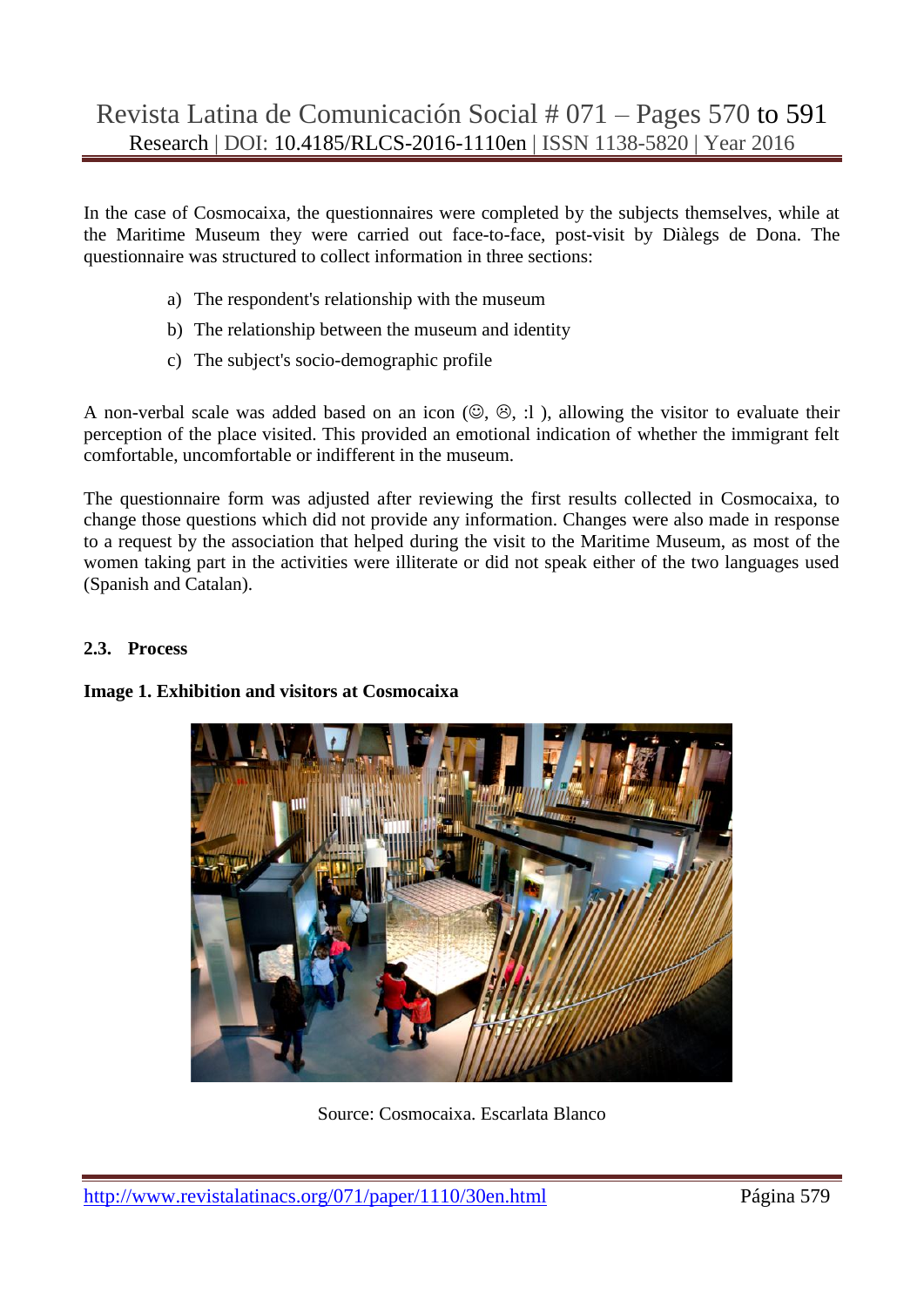In the case of Cosmocaixa, the questionnaires were completed by the subjects themselves, while at the Maritime Museum they were carried out face-to-face, post-visit by Diàlegs de Dona. The questionnaire was structured to collect information in three sections:

- a) The respondent's relationship with the museum
- b) The relationship between the museum and identity
- c) The subject's socio-demographic profile

A non-verbal scale was added based on an icon  $(\mathbb{Q}, \mathbb{G}, :]$ ), allowing the visitor to evaluate their perception of the place visited. This provided an emotional indication of whether the immigrant felt comfortable, uncomfortable or indifferent in the museum.

The questionnaire form was adjusted after reviewing the first results collected in Cosmocaixa, to change those questions which did not provide any information. Changes were also made in response to a request by the association that helped during the visit to the Maritime Museum, as most of the women taking part in the activities were illiterate or did not speak either of the two languages used (Spanish and Catalan).

#### **2.3. Process**

#### **Image 1. Exhibition and visitors at Cosmocaixa**



Source: Cosmocaixa. Escarlata Blanco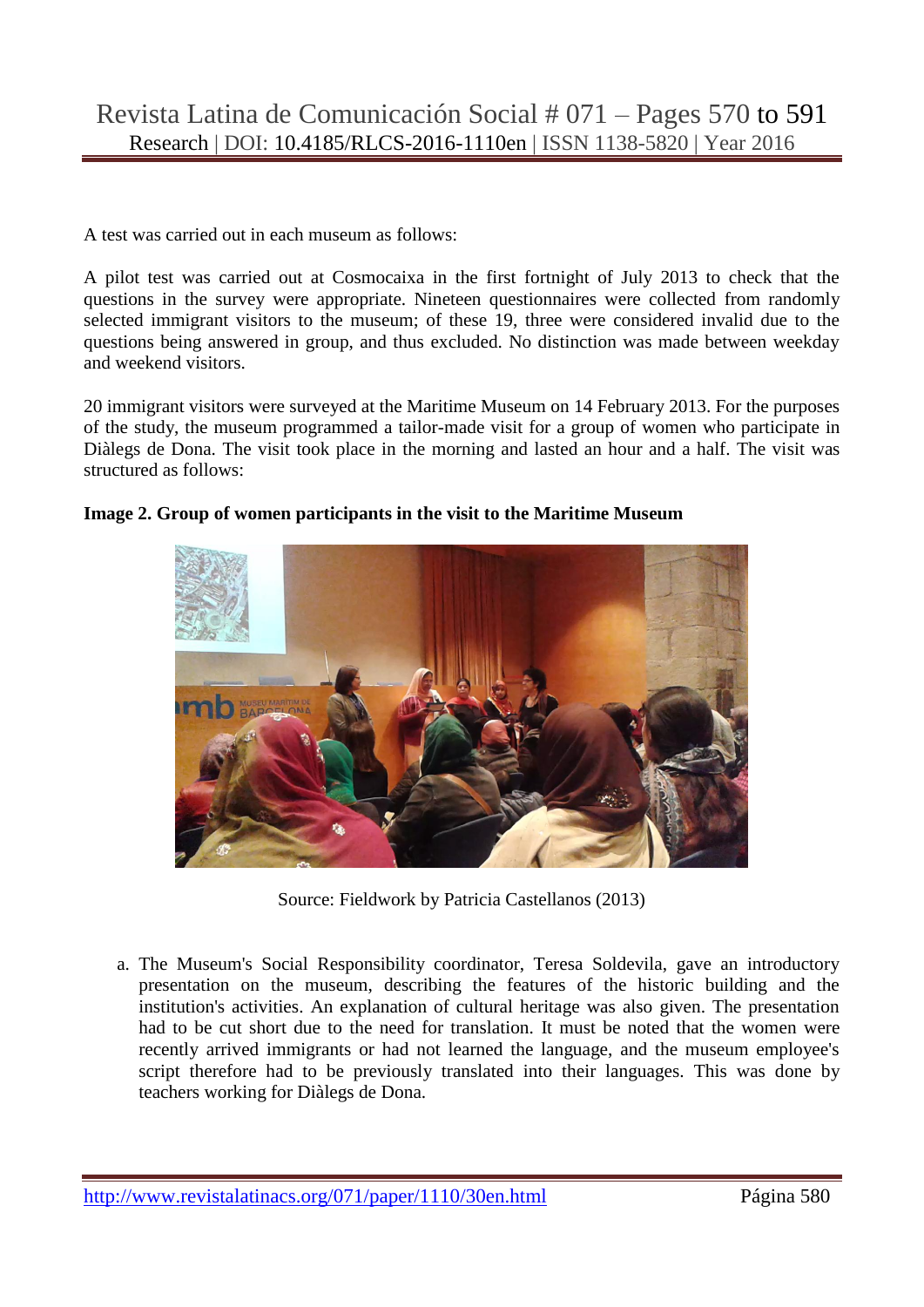A test was carried out in each museum as follows:

A pilot test was carried out at Cosmocaixa in the first fortnight of July 2013 to check that the questions in the survey were appropriate. Nineteen questionnaires were collected from randomly selected immigrant visitors to the museum; of these 19, three were considered invalid due to the questions being answered in group, and thus excluded. No distinction was made between weekday and weekend visitors.

20 immigrant visitors were surveyed at the Maritime Museum on 14 February 2013. For the purposes of the study, the museum programmed a tailor-made visit for a group of women who participate in Diàlegs de Dona. The visit took place in the morning and lasted an hour and a half. The visit was structured as follows:



**Image 2. Group of women participants in the visit to the Maritime Museum**

Source: Fieldwork by Patricia Castellanos (2013)

a. The Museum's Social Responsibility coordinator, Teresa Soldevila, gave an introductory presentation on the museum, describing the features of the historic building and the institution's activities. An explanation of cultural heritage was also given. The presentation had to be cut short due to the need for translation. It must be noted that the women were recently arrived immigrants or had not learned the language, and the museum employee's script therefore had to be previously translated into their languages. This was done by teachers working for Diàlegs de Dona.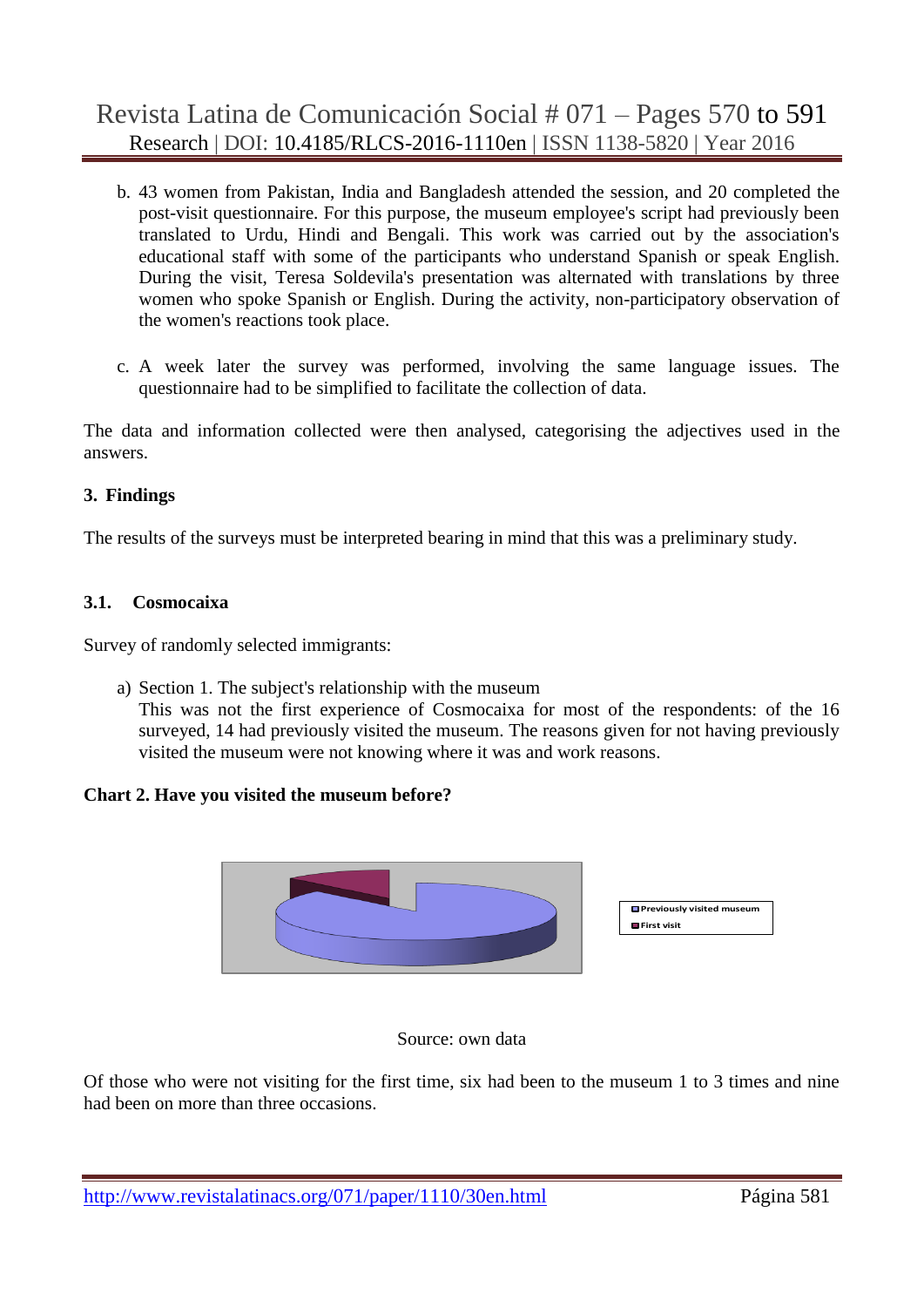- b. 43 women from Pakistan, India and Bangladesh attended the session, and 20 completed the post-visit questionnaire. For this purpose, the museum employee's script had previously been translated to Urdu, Hindi and Bengali. This work was carried out by the association's educational staff with some of the participants who understand Spanish or speak English. During the visit, Teresa Soldevila's presentation was alternated with translations by three women who spoke Spanish or English. During the activity, non-participatory observation of the women's reactions took place.
- c. A week later the survey was performed, involving the same language issues. The questionnaire had to be simplified to facilitate the collection of data.

The data and information collected were then analysed, categorising the adjectives used in the answers.

#### **3. Findings**

The results of the surveys must be interpreted bearing in mind that this was a preliminary study.

#### **3.1. Cosmocaixa**

Survey of randomly selected immigrants:

a) Section 1. The subject's relationship with the museum

This was not the first experience of Cosmocaixa for most of the respondents: of the 16 surveyed, 14 had previously visited the museum. The reasons given for not having previously visited the museum were not knowing where it was and work reasons.

#### **Chart 2. Have you visited the museum before?**



#### Source: own data

Of those who were not visiting for the first time, six had been to the museum 1 to 3 times and nine had been on more than three occasions.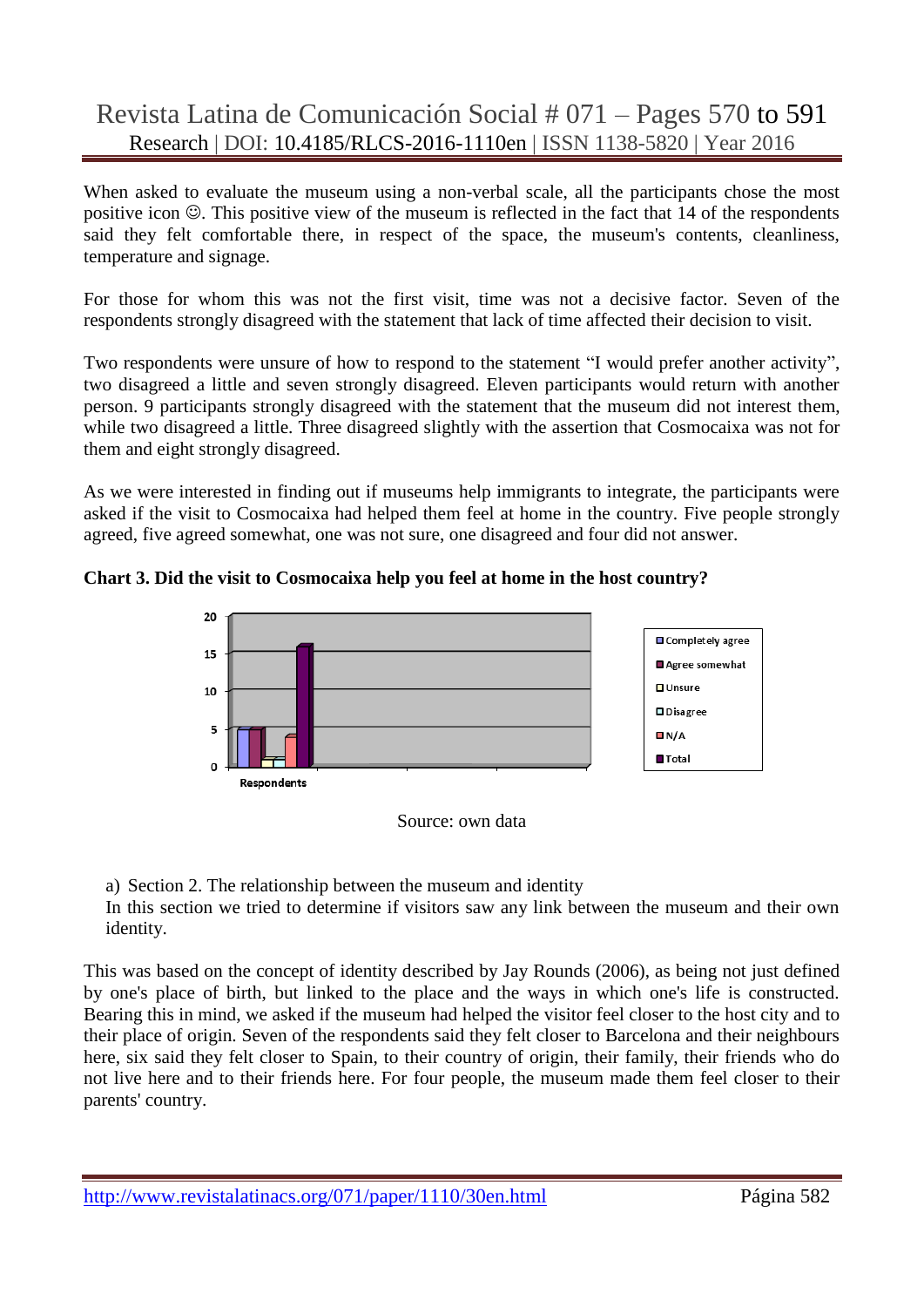When asked to evaluate the museum using a non-verbal scale, all the participants chose the most positive icon  $\odot$ . This positive view of the museum is reflected in the fact that 14 of the respondents said they felt comfortable there, in respect of the space, the museum's contents, cleanliness, temperature and signage.

For those for whom this was not the first visit, time was not a decisive factor. Seven of the respondents strongly disagreed with the statement that lack of time affected their decision to visit.

Two respondents were unsure of how to respond to the statement "I would prefer another activity", two disagreed a little and seven strongly disagreed. Eleven participants would return with another person. 9 participants strongly disagreed with the statement that the museum did not interest them, while two disagreed a little. Three disagreed slightly with the assertion that Cosmocaixa was not for them and eight strongly disagreed.

As we were interested in finding out if museums help immigrants to integrate, the participants were asked if the visit to Cosmocaixa had helped them feel at home in the country. Five people strongly agreed, five agreed somewhat, one was not sure, one disagreed and four did not answer.





Source: own data

a) Section 2. The relationship between the museum and identity

In this section we tried to determine if visitors saw any link between the museum and their own identity.

This was based on the concept of identity described by Jay Rounds (2006), as being not just defined by one's place of birth, but linked to the place and the ways in which one's life is constructed. Bearing this in mind, we asked if the museum had helped the visitor feel closer to the host city and to their place of origin. Seven of the respondents said they felt closer to Barcelona and their neighbours here, six said they felt closer to Spain, to their country of origin, their family, their friends who do not live here and to their friends here. For four people, the museum made them feel closer to their parents' country.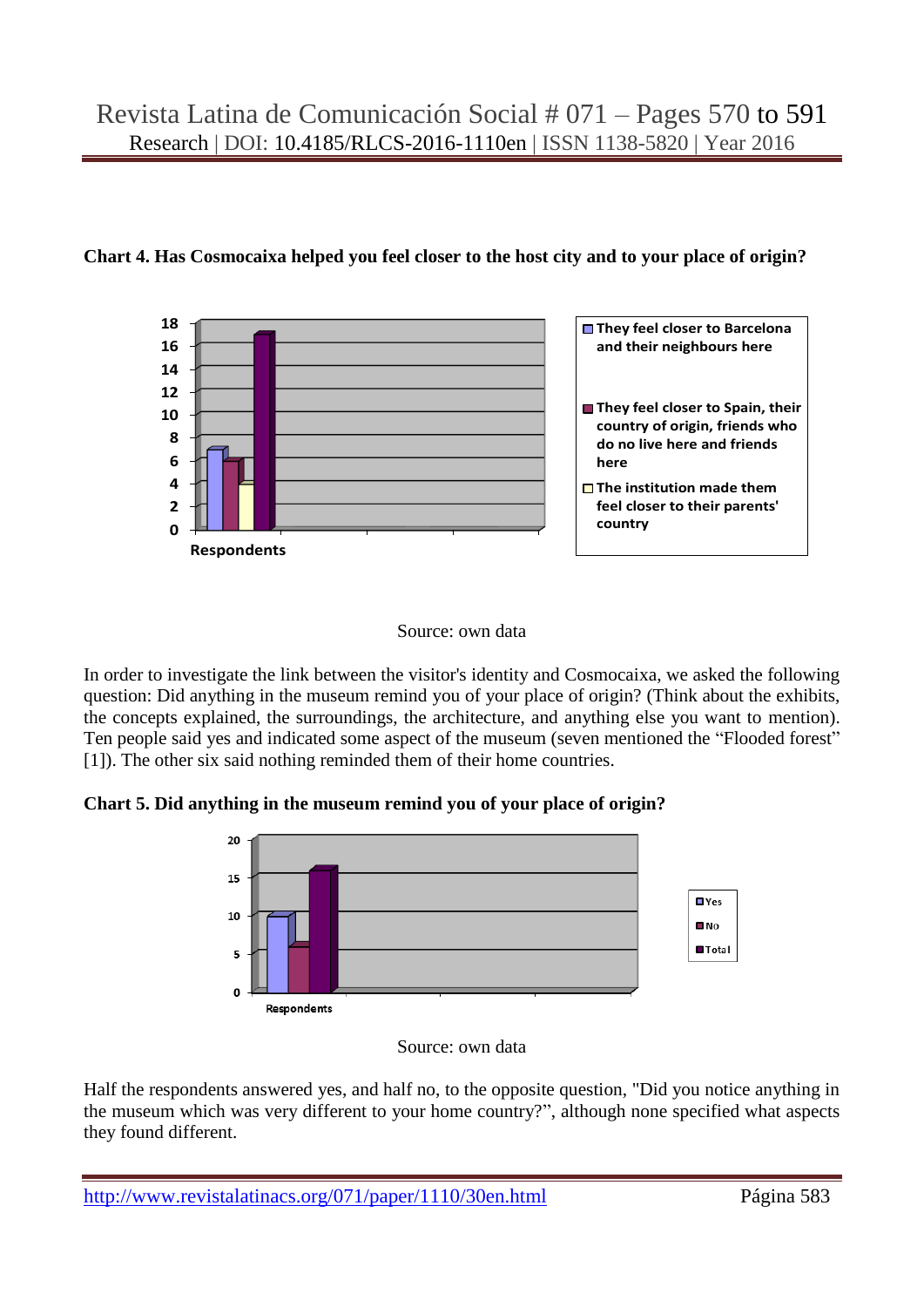

#### **Chart 4. Has Cosmocaixa helped you feel closer to the host city and to your place of origin?**

#### Source: own data

In order to investigate the link between the visitor's identity and Cosmocaixa, we asked the following question: Did anything in the museum remind you of your place of origin? (Think about the exhibits, the concepts explained, the surroundings, the architecture, and anything else you want to mention). Ten people said yes and indicated some aspect of the museum (seven mentioned the "Flooded forest" [1]). The other six said nothing reminded them of their home countries.

**Chart 5. Did anything in the museum remind you of your place of origin?**



Source: own data

Half the respondents answered yes, and half no, to the opposite question, "Did you notice anything in the museum which was very different to your home country?", although none specified what aspects they found different.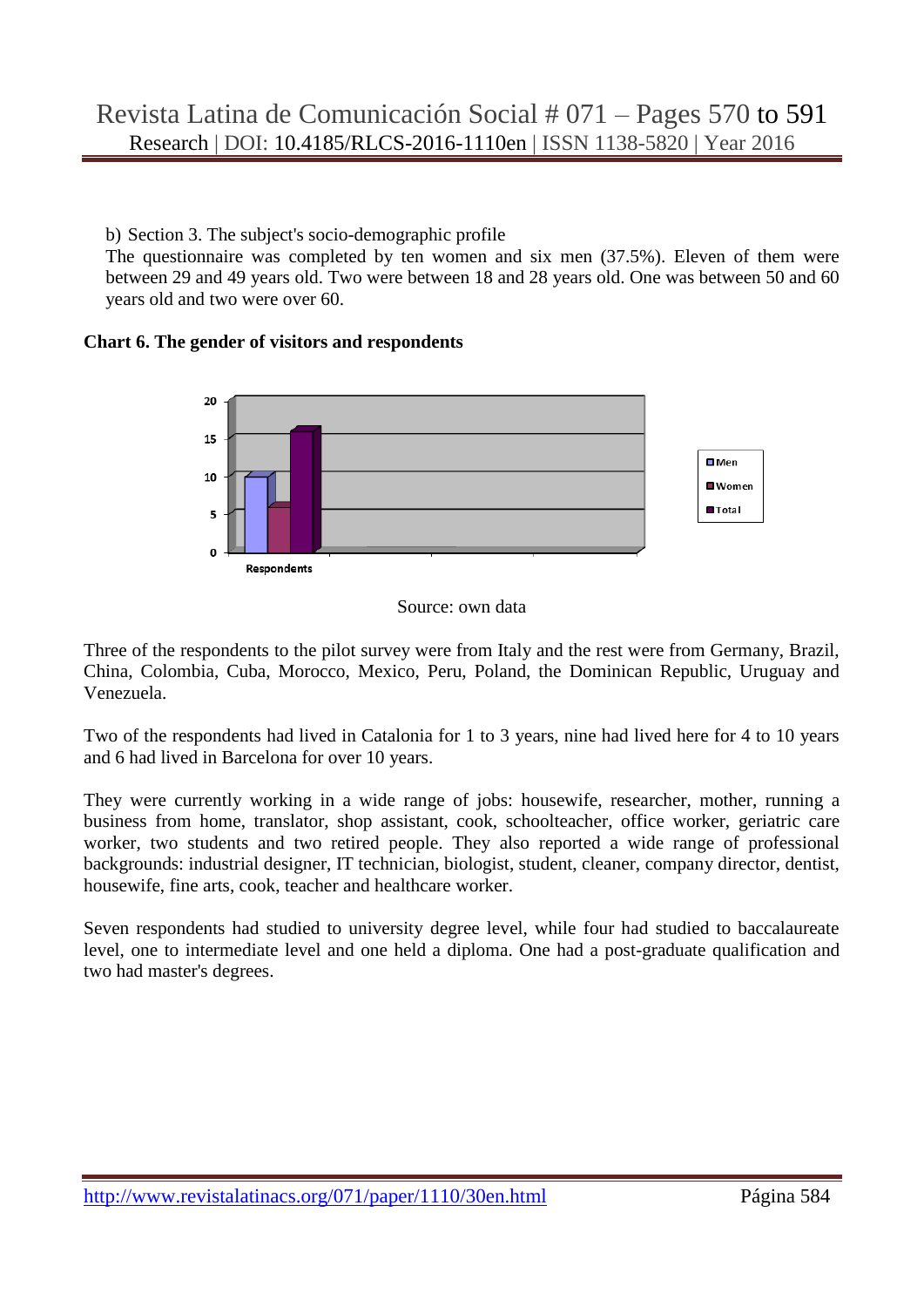b) Section 3. The subject's socio-demographic profile

The questionnaire was completed by ten women and six men (37.5%). Eleven of them were between 29 and 49 years old. Two were between 18 and 28 years old. One was between 50 and 60 years old and two were over 60.

#### **Chart 6. The gender of visitors and respondents**



#### Source: own data

Three of the respondents to the pilot survey were from Italy and the rest were from Germany, Brazil, China, Colombia, Cuba, Morocco, Mexico, Peru, Poland, the Dominican Republic, Uruguay and Venezuela.

Two of the respondents had lived in Catalonia for 1 to 3 years, nine had lived here for 4 to 10 years and 6 had lived in Barcelona for over 10 years.

They were currently working in a wide range of jobs: housewife, researcher, mother, running a business from home, translator, shop assistant, cook, schoolteacher, office worker, geriatric care worker, two students and two retired people. They also reported a wide range of professional backgrounds: industrial designer, IT technician, biologist, student, cleaner, company director, dentist, housewife, fine arts, cook, teacher and healthcare worker.

Seven respondents had studied to university degree level, while four had studied to baccalaureate level, one to intermediate level and one held a diploma. One had a post-graduate qualification and two had master's degrees.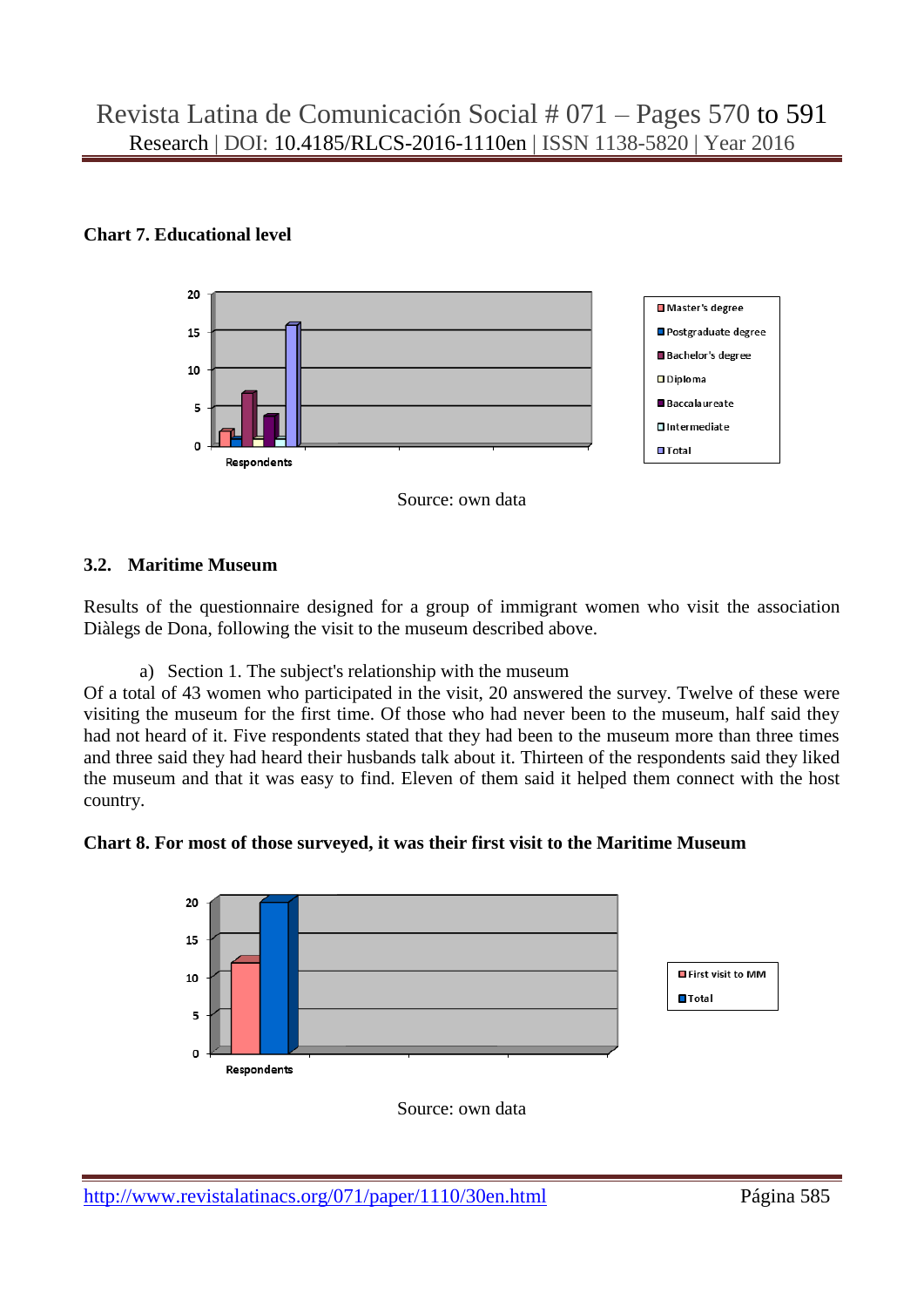## **Chart 7. Educational level**



Source: own data

### **3.2. Maritime Museum**

Results of the questionnaire designed for a group of immigrant women who visit the association Diàlegs de Dona, following the visit to the museum described above.

a) Section 1. The subject's relationship with the museum

Of a total of 43 women who participated in the visit, 20 answered the survey. Twelve of these were visiting the museum for the first time. Of those who had never been to the museum, half said they had not heard of it. Five respondents stated that they had been to the museum more than three times and three said they had heard their husbands talk about it. Thirteen of the respondents said they liked the museum and that it was easy to find. Eleven of them said it helped them connect with the host country.





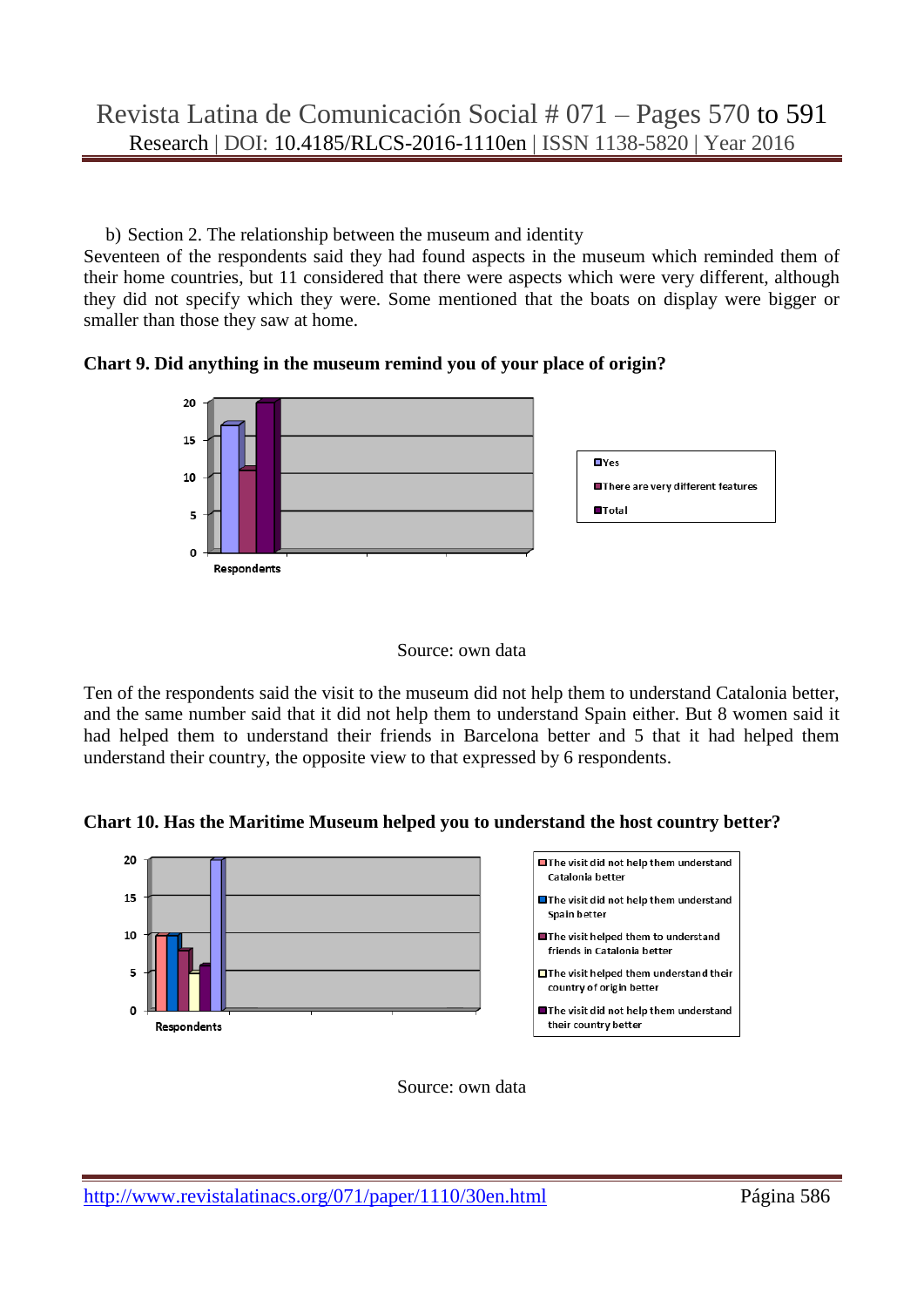b) Section 2. The relationship between the museum and identity

Seventeen of the respondents said they had found aspects in the museum which reminded them of their home countries, but 11 considered that there were aspects which were very different, although they did not specify which they were. Some mentioned that the boats on display were bigger or smaller than those they saw at home.







Ten of the respondents said the visit to the museum did not help them to understand Catalonia better, and the same number said that it did not help them to understand Spain either. But 8 women said it had helped them to understand their friends in Barcelona better and 5 that it had helped them understand their country, the opposite view to that expressed by 6 respondents.

**Chart 10. Has the Maritime Museum helped you to understand the host country better?**



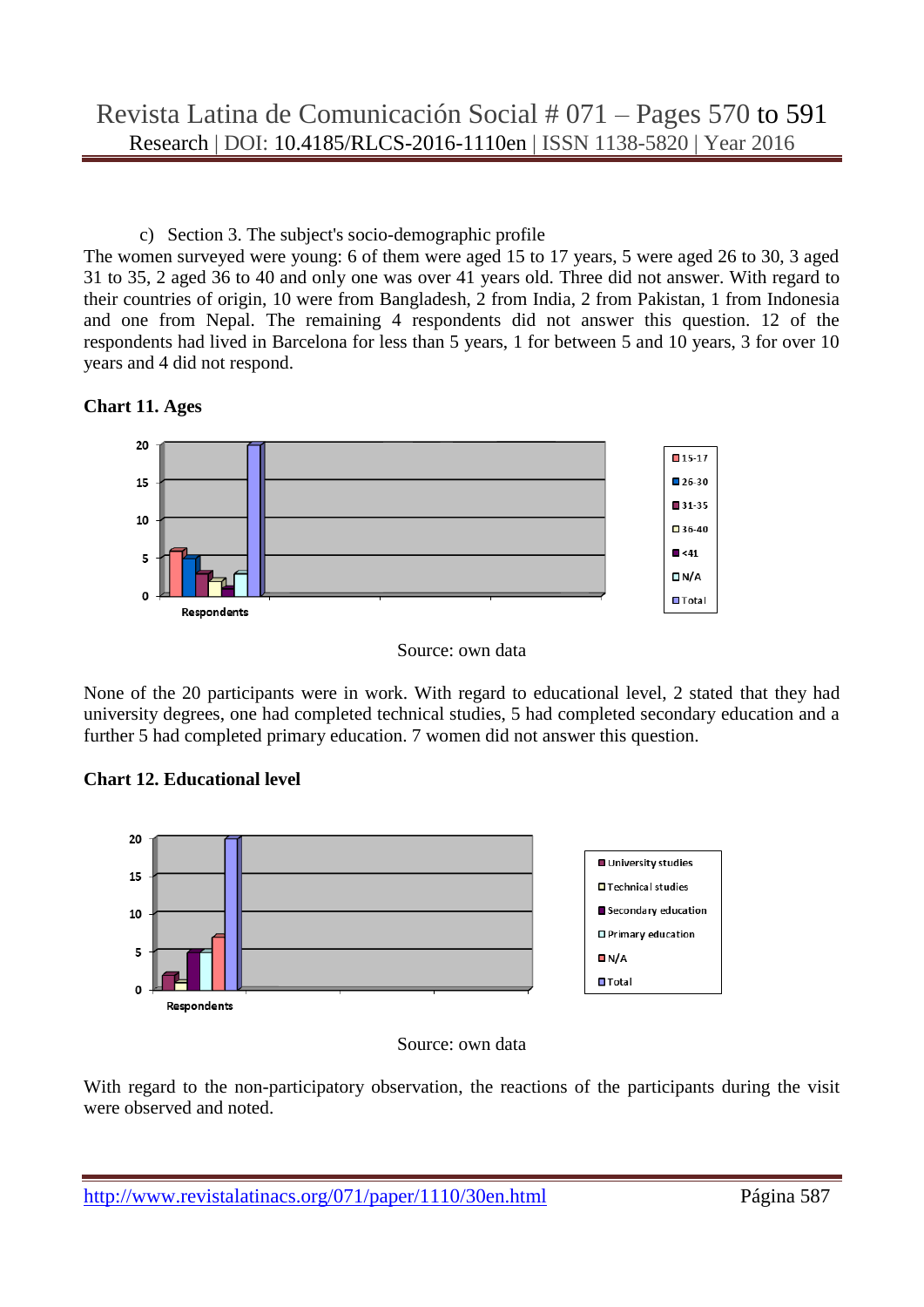c) Section 3. The subject's socio-demographic profile

The women surveyed were young: 6 of them were aged 15 to 17 years, 5 were aged 26 to 30, 3 aged 31 to 35, 2 aged 36 to 40 and only one was over 41 years old. Three did not answer. With regard to their countries of origin, 10 were from Bangladesh, 2 from India, 2 from Pakistan, 1 from Indonesia and one from Nepal. The remaining 4 respondents did not answer this question. 12 of the respondents had lived in Barcelona for less than 5 years, 1 for between 5 and 10 years, 3 for over 10 years and 4 did not respond.

### **Chart 11. Ages**





None of the 20 participants were in work. With regard to educational level, 2 stated that they had university degrees, one had completed technical studies, 5 had completed secondary education and a further 5 had completed primary education. 7 women did not answer this question.

## **Chart 12. Educational level**



Source: own data

With regard to the non-participatory observation, the reactions of the participants during the visit were observed and noted.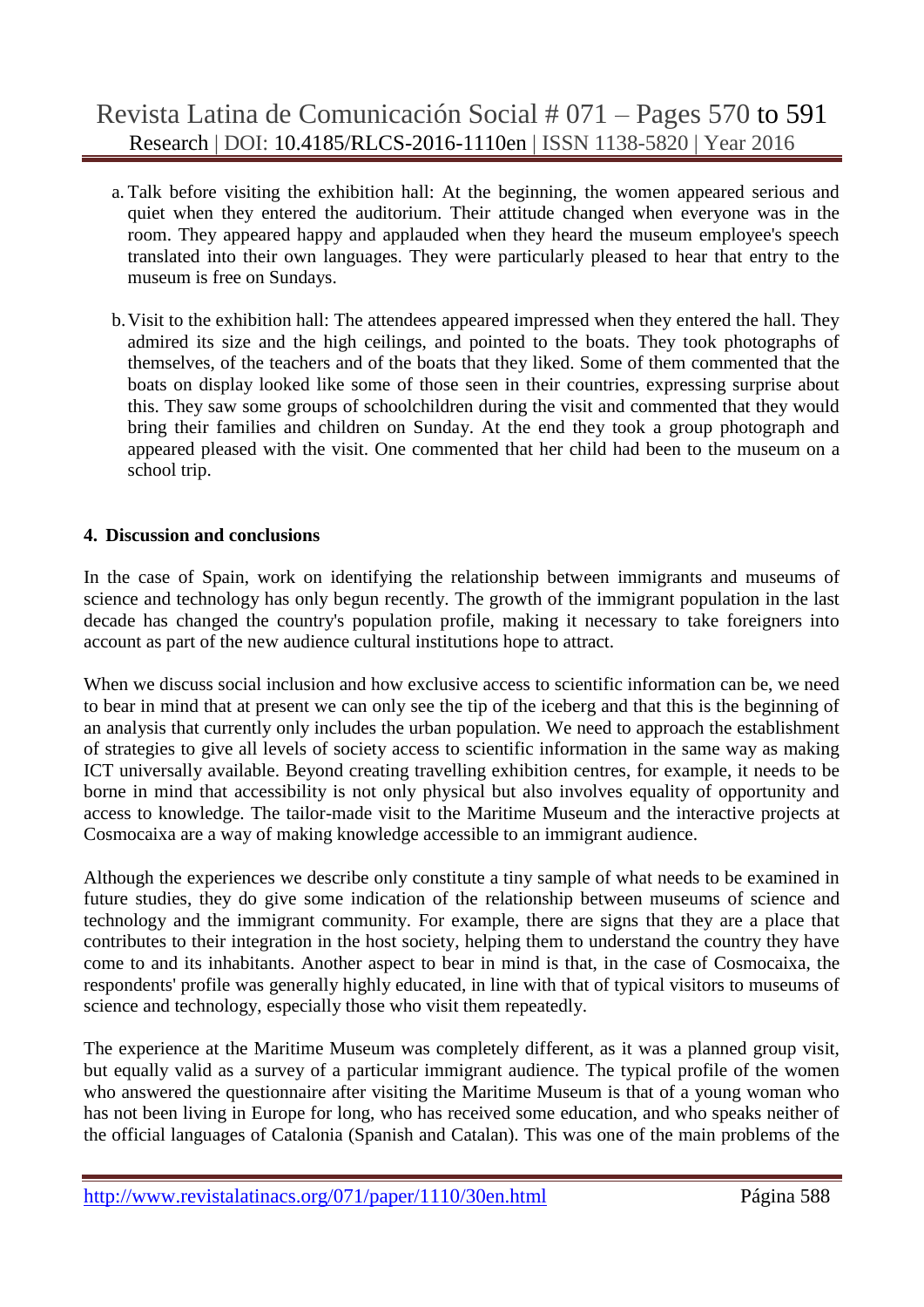- a. Talk before visiting the exhibition hall: At the beginning, the women appeared serious and quiet when they entered the auditorium. Their attitude changed when everyone was in the room. They appeared happy and applauded when they heard the museum employee's speech translated into their own languages. They were particularly pleased to hear that entry to the museum is free on Sundays.
- b.Visit to the exhibition hall: The attendees appeared impressed when they entered the hall. They admired its size and the high ceilings, and pointed to the boats. They took photographs of themselves, of the teachers and of the boats that they liked. Some of them commented that the boats on display looked like some of those seen in their countries, expressing surprise about this. They saw some groups of schoolchildren during the visit and commented that they would bring their families and children on Sunday. At the end they took a group photograph and appeared pleased with the visit. One commented that her child had been to the museum on a school trip.

### **4. Discussion and conclusions**

In the case of Spain, work on identifying the relationship between immigrants and museums of science and technology has only begun recently. The growth of the immigrant population in the last decade has changed the country's population profile, making it necessary to take foreigners into account as part of the new audience cultural institutions hope to attract.

When we discuss social inclusion and how exclusive access to scientific information can be, we need to bear in mind that at present we can only see the tip of the iceberg and that this is the beginning of an analysis that currently only includes the urban population. We need to approach the establishment of strategies to give all levels of society access to scientific information in the same way as making ICT universally available. Beyond creating travelling exhibition centres, for example, it needs to be borne in mind that accessibility is not only physical but also involves equality of opportunity and access to knowledge. The tailor-made visit to the Maritime Museum and the interactive projects at Cosmocaixa are a way of making knowledge accessible to an immigrant audience.

Although the experiences we describe only constitute a tiny sample of what needs to be examined in future studies, they do give some indication of the relationship between museums of science and technology and the immigrant community. For example, there are signs that they are a place that contributes to their integration in the host society, helping them to understand the country they have come to and its inhabitants. Another aspect to bear in mind is that, in the case of Cosmocaixa, the respondents' profile was generally highly educated, in line with that of typical visitors to museums of science and technology, especially those who visit them repeatedly.

The experience at the Maritime Museum was completely different, as it was a planned group visit, but equally valid as a survey of a particular immigrant audience. The typical profile of the women who answered the questionnaire after visiting the Maritime Museum is that of a young woman who has not been living in Europe for long, who has received some education, and who speaks neither of the official languages of Catalonia (Spanish and Catalan). This was one of the main problems of the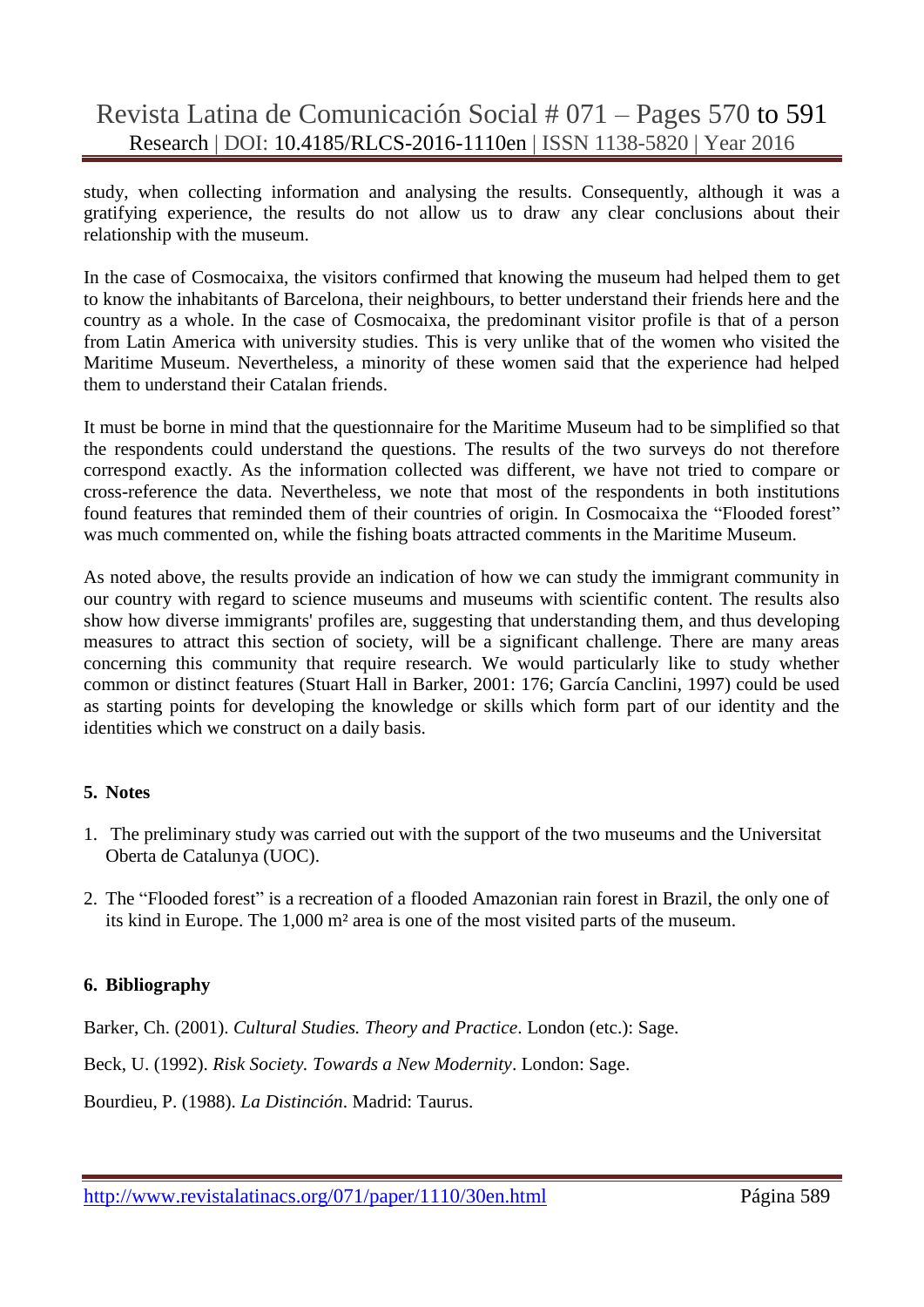study, when collecting information and analysing the results. Consequently, although it was a gratifying experience, the results do not allow us to draw any clear conclusions about their relationship with the museum.

In the case of Cosmocaixa, the visitors confirmed that knowing the museum had helped them to get to know the inhabitants of Barcelona, their neighbours, to better understand their friends here and the country as a whole. In the case of Cosmocaixa, the predominant visitor profile is that of a person from Latin America with university studies. This is very unlike that of the women who visited the Maritime Museum. Nevertheless, a minority of these women said that the experience had helped them to understand their Catalan friends.

It must be borne in mind that the questionnaire for the Maritime Museum had to be simplified so that the respondents could understand the questions. The results of the two surveys do not therefore correspond exactly. As the information collected was different, we have not tried to compare or cross-reference the data. Nevertheless, we note that most of the respondents in both institutions found features that reminded them of their countries of origin. In Cosmocaixa the "Flooded forest" was much commented on, while the fishing boats attracted comments in the Maritime Museum.

As noted above, the results provide an indication of how we can study the immigrant community in our country with regard to science museums and museums with scientific content. The results also show how diverse immigrants' profiles are, suggesting that understanding them, and thus developing measures to attract this section of society, will be a significant challenge. There are many areas concerning this community that require research. We would particularly like to study whether common or distinct features (Stuart Hall in Barker, 2001: 176; García Canclini, 1997) could be used as starting points for developing the knowledge or skills which form part of our identity and the identities which we construct on a daily basis.

#### **5. Notes**

- 1. The preliminary study was carried out with the support of the two museums and the Universitat Oberta de Catalunya (UOC).
- 2. The "Flooded forest" is a recreation of a flooded Amazonian rain forest in Brazil, the only one of its kind in Europe. The 1,000 m² area is one of the most visited parts of the museum.

#### **6. Bibliography**

Barker, Ch. (2001). *Cultural Studies. Theory and Practice*. London (etc.): Sage.

Beck, U. (1992). *Risk Society. Towards a New Modernity*. London: Sage.

Bourdieu, P. (1988). *La Distinción*. Madrid: Taurus.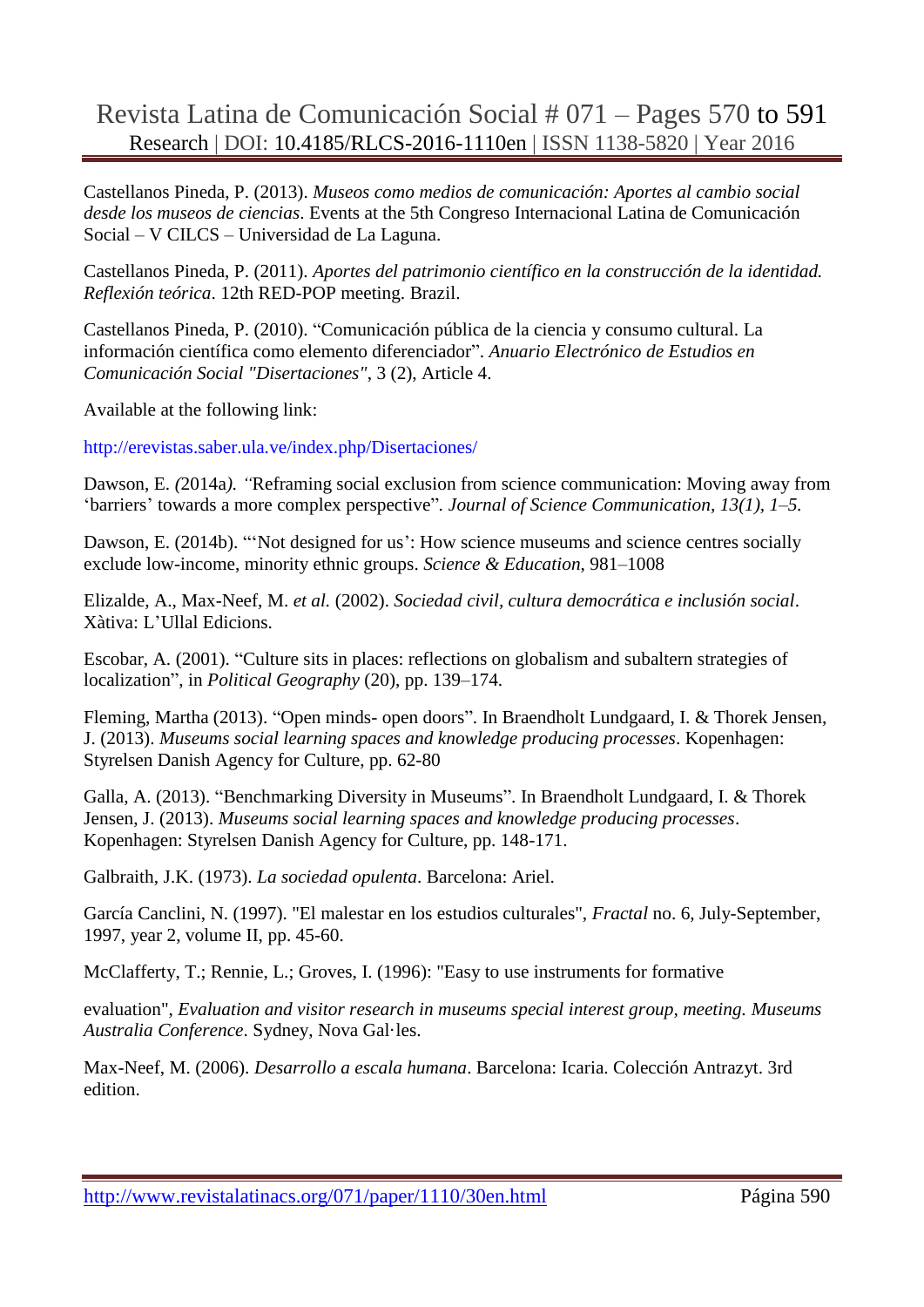Castellanos Pineda, P. (2013). *Museos como medios de comunicación: Aportes al cambio social desde los museos de ciencias*. Events at the 5th Congreso Internacional Latina de Comunicación Social – V CILCS – Universidad de La Laguna.

Castellanos Pineda, P. (2011). *Aportes del patrimonio científico en la construcción de la identidad. Reflexión teórica*. 12th RED-POP meeting. Brazil.

Castellanos Pineda, P. (2010). "Comunicación pública de la ciencia y consumo cultural. La información científica como elemento diferenciador". *Anuario Electrónico de Estudios en Comunicación Social "Disertaciones"*, 3 (2), Article 4.

Available at the following link:

http://erevistas.saber.ula.ve/index.php/Disertaciones/

Dawson, E. *(*2014a*). "*Reframing social exclusion from science communication: Moving away from "barriers" towards a more complex perspective"*. Journal of Science Communication, 13(1), 1–5.*

Dawson, E. (2014b). ""Not designed for us": How science museums and science centres socially exclude low-income, minority ethnic groups. *Science & Education*, 981–1008

Elizalde, A., Max-Neef, M. *et al.* (2002). *Sociedad civil, cultura democrática e inclusión social*. Xàtiva: L"Ullal Edicions.

Escobar, A. (2001). "Culture sits in places: reflections on globalism and subaltern strategies of localization", in *Political Geography* (20), pp. 139–174.

Fleming, Martha (2013). "Open minds- open doors". In Braendholt Lundgaard, I. & Thorek Jensen, J. (2013). *Museums social learning spaces and knowledge producing processes*. Kopenhagen: Styrelsen Danish Agency for Culture, pp. 62-80

Galla, A. (2013). "Benchmarking Diversity in Museums". In Braendholt Lundgaard, I. & Thorek Jensen, J. (2013). *Museums social learning spaces and knowledge producing processes*. Kopenhagen: Styrelsen Danish Agency for Culture, pp. 148-171.

Galbraith, J.K. (1973). *La sociedad opulenta*. Barcelona: Ariel.

García Canclini, N. (1997). "El malestar en los estudios culturales", *Fractal* no. 6, July-September, 1997, year 2, volume II, pp. 45-60.

McClafferty, T.; Rennie, L.; Groves, I. (1996): "Easy to use instruments for formative

evaluation", *Evaluation and visitor research in museums special interest group, meeting. Museums Australia Conference*. Sydney, Nova Gal·les.

Max-Neef, M. (2006). *Desarrollo a escala humana*. Barcelona: Icaria. Colección Antrazyt. 3rd edition.

http://www.revistalatinacs.org/071/paper/1110/30en.html Página 590